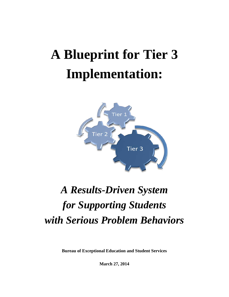# **A Blueprint for Tier 3 Implementation:**



# *A Results-Driven System for Supporting Students with Serious Problem Behaviors*

**Bureau of Exceptional Education and Student Services**

**March 27, 2014**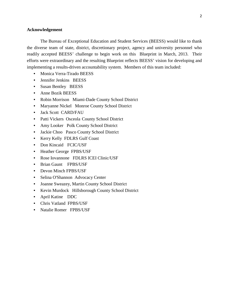#### **Acknowledgement**

The Bureau of Exceptional Education and Student Services (BEESS) would like to thank the diverse team of state, district, discretionary project, agency and university personnel who readily accepted BEESS' challenge to begin work on this Blueprint in March, 2013. Their efforts were extraordinary and the resulting Blueprint reflects BEESS' vision for developing and implementing a results-driven accountability system. Members of this team included:

- Monica Verra-Tirado BEESS
- Jennifer Jenkins BEESS
- Susan Bentley BEESS
- Anne Bozik BEESS
- Robin Morrison Miami-Dade County School District
- Maryanne Nickel Monroe County School District
- Jack Scott CARD/FAU
- Patti Vickers Osceola County School District
- Amy Looker Polk County School District
- Jackie Choo Pasco County School District
- Kerry Kelly FDLRS Gulf Coast
- Don Kincaid FCIC/USF
- Heather George FPBS/USF
- Rose Iovannone FDLRS ICEI Clinic/USF
- Brian Gaunt FPBS/USF
- Devon Minch FPBS/USF
- Selina O'Shannon Advocacy Center
- Joanne Sweazey, Martin County School District
- Kevin Murdock Hillsborough County School District
- April Katine DDC
- Chris Vatland FPBS/USF
- Natalie Romer FPBS/USF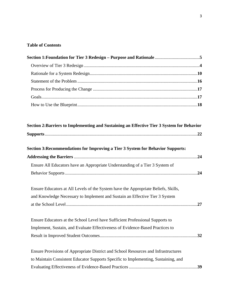# **Table of Contents**

| Section 2: Barriers to Implementing and Sustaining an Effective Tier 3 System for Behavior |  |
|--------------------------------------------------------------------------------------------|--|
|                                                                                            |  |
| Section 3: Recommendations for Improving a Tier 3 System for Behavior Supports:            |  |
|                                                                                            |  |
| Ensure All Educators have an Appropriate Understanding of a Tier 3 System of               |  |
|                                                                                            |  |
| Ensure Educators at All Levels of the System have the Appropriate Beliefs, Skills,         |  |
| and Knowledge Necessary to Implement and Sustain an Effective Tier 3 System                |  |
|                                                                                            |  |
| Ensure Educators at the School Level have Sufficient Professional Supports to              |  |
| Implement, Sustain, and Evaluate Effectiveness of Evidence-Based Practices to              |  |
|                                                                                            |  |
| Ensure Provisions of Appropriate District and School Resources and Infrastructures         |  |
| to Maintain Consistent Educator Supports Specific to Implementing, Sustaining, and         |  |
|                                                                                            |  |
|                                                                                            |  |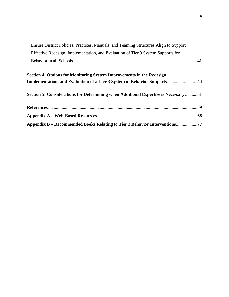| Ensure District Policies, Practices, Manuals, and Teaming Structures Align to Support |  |
|---------------------------------------------------------------------------------------|--|
| Effective Redesign, Implementation, and Evaluation of Tier 3 System Supports for      |  |
|                                                                                       |  |
| Section 4: Options for Monitoring System Improvements in the Redesign,                |  |
| Implementation, and Evaluation of a Tier 3 System of Behavior Supports44              |  |
| Section 5: Considerations for Determining when Additional Expertise is Necessary 51   |  |
|                                                                                       |  |
|                                                                                       |  |
| Appendix B – Recommended Books Relating to Tier 3 Behavior Interventions77            |  |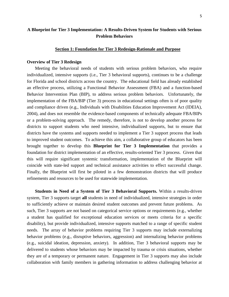# **A Blueprint for Tier 3 Implementation: A Results-Driven System for Students with Serious Problem Behaviors**

#### **Section 1: Foundation for Tier 3 Redesign-Rationale and Purpose**

#### **Overview of Tier 3 Redesign**

Meeting the behavioral needs of students with serious problem behaviors, who require individualized, intensive supports (i.e., Tier 3 behavioral supports), continues to be a challenge for Florida and school districts across the country. The educational field has already established an effective process, utilizing a Functional Behavior Assessment (FBA) and a function-based Behavior Intervention Plan (BIP), to address serious problem behaviors. Unfortunately, the implementation of the FBA/BIP (Tier 3) process in educational settings often is of poor quality and compliance driven (e.g., Individuals with Disabilities Education Improvement Act (IDEIA), 2004), and does not resemble the evidence-based components of technically adequate FBA/BIPs or a problem-solving approach. The remedy, therefore, is not to develop another process for districts to support students who need intensive, individualized supports, but to ensure that districts have the systems and supports needed to implement a Tier 3 support process that leads to improved student outcomes. To achieve this aim, a collaborative group of educators has been brought together to develop this **Blueprint for Tier 3 Implementation** that provides a foundation for district implementation of an effective, results-oriented Tier 3 process. Given that this will require significant systemic transformation, implementation of the Blueprint will coincide with state-led support and technical assistance activities to effect successful change. Finally, the Blueprint will first be piloted in a few demonstration districts that will produce refinements and resources to be used for statewide implementation.

**Students in Need of a System of Tier 3 Behavioral Supports.** Within a results-driven system, Tier 3 supports target **all** students in need of individualized, intensive strategies in order to sufficiently achieve or maintain desired student outcomes and prevent future problems. As such, Tier 3 supports are not based on categorical service options or requirements (e.g., whether a student has qualified for exceptional education services or meets criteria for a specific disability), but provide individualized, intensive supports matched to a range of specific student needs. The array of behavior problems requiring Tier 3 supports may include externalizing behavior problems (e.g., disruptive behaviors, aggression) and internalizing behavior problems (e.g., suicidal ideation, depression, anxiety). In addition, Tier 3 behavioral supports may be delivered to students whose behaviors may be impacted by trauma or crisis situations, whether they are of a temporary or permanent nature. Engagement in Tier 3 supports may also include collaboration with family members in gathering information to address challenging behavior at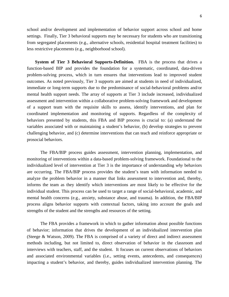school and/or development and implementation of behavior support across school and home settings. Finally, Tier 3 behavioral supports may be necessary for students who are transitioning from segregated placements (e.g., alternative schools, residential hospital treatment facilities) to less restrictive placements (e.g., neighborhood school).

**System of Tier 3 Behavioral Supports-Definition.** FBA is the process that drives a function-based BIP and provides the foundation for a systematic, coordinated, data-driven problem-solving process, which in turn ensures that interventions lead to improved student outcomes. As noted previously, Tier 3 supports are aimed at students in need of individualized, immediate or long-term supports due to the predominance of social-behavioral problems and/or mental health support needs. The array of supports at Tier 3 include increased, individualized assessment and intervention within a collaborative problem-solving framework and development of a support team with the requisite skills to assess, identify interventions, and plan for coordinated implementation and monitoring of supports. Regardless of the complexity of behaviors presented by students, this FBA and BIP process is crucial to: (a) understand the variables associated with or maintaining a student's behavior, (b) develop strategies to prevent challenging behavior, and (c) determine interventions that can teach and reinforce appropriate or prosocial behaviors.

The FBA/BIP process guides assessment, intervention planning, implementation, and monitoring of interventions within a data-based problem-solving framework. Foundational to the individualized level of intervention at Tier 3 is the importance of understanding *why* behaviors are occurring. The FBA/BIP process provides the student's team with information needed to analyze the problem behavior in a manner that links assessment to intervention and, thereby, informs the team as they identify which interventions are most likely to be effective for the individual student. This process can be used to target a range of social-behavioral, academic, and mental health concerns (e.g., anxiety, substance abuse, and trauma). In addition, the FBA/BIP process aligns behavior supports with contextual factors, taking into account the goals and strengths of the student and the strengths and resources of the setting.

The FBA provides a framework in which to gather information about possible functions of behavior; information that drives the development of an individualized intervention plan (Steege & Watson, 2009). The FBA is comprised of a variety of direct and indirect assessment methods including, but not limited to, direct observation of behavior in the classroom and interviews with teachers, staff, and the student. It focuses on current observations of behaviors and associated environmental variables (i.e., setting events, antecedents, and consequences) impacting a student's behavior, and thereby, guides individualized intervention planning. The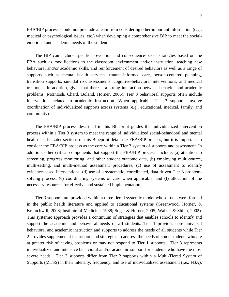FBA/BIP process should not preclude a team from considering other important information (e.g., medical or psychological issues, etc.) when developing a comprehensive BIP to meet the socialemotional and academic needs of the student.

The BIP can include specific prevention and consequence-based strategies based on the FBA such as modifications to the classroom environment and/or instruction, teaching new behavioral and/or academic skills, and reinforcement of desired behaviors as well as a range of supports such as mental health services, trauma-informed care, person-centered planning, transition supports, suicidal risk assessments, cognitive-behavioral interventions, and medical treatment. In addition, given that there is a strong interaction between behavior and academic problems (McIntosh, Chard, Boland, Horner, 2006), Tier 3 behavioral supports often include interventions related to academic instruction. When applicable, Tier 3 supports involve coordination of individualized supports across systems (e.g., educational, medical, family, and community).

The FBA/BIP process described in this Blueprint guides the individualized intervention process within a Tier 3 system to meet the range of individualized social-behavioral and mental health needs. Later sections of this Blueprint detail the FBA/BIP process, but it is important to consider the FBA/BIP process as the core within a Tier 3 system of supports and assessment. In addition, other critical components that support the FBA/BIP process include: (a) attention to screening, progress monitoring, and other student outcome data, (b) employing multi-source, multi-setting, and multi-method assessment procedures, (c) use of assessment to identify evidence-based interventions, (d) use of a systematic, coordinated, data-driven Tier 3 problemsolving process, (e) coordinating systems of care when applicable, and (f) allocation of the necessary resources for effective and sustained implementation.

Tier 3 supports are provided within a three-tiered systemic model whose roots were formed in the public health literature and applied to educational systems (Greenwood, Horner,  $\&$ Kratochwill, 2008; Institute of Medicine, 1988; Sugai & Horner, 2005; Walker & Shinn, 2002). This systemic approach provides a continuum of strategies that enables schools to identify and support the academic and behavioral needs of **all** students. Tier 1 provides core universal behavioral and academic instruction and supports to address the needs of all students while Tier 2 provides supplemental instruction and strategies to address the needs of some students who are at greater risk of having problems or may not respond to Tier 1 supports. Tier 3 represents individualized and intensive behavioral and/or academic support for students who have the most severe needs. Tier 3 supports differ from Tier 2 supports within a Multi-Tiered System of Supports (MTSS) in their intensity, frequency, and use of individualized assessment (i.e., FBA),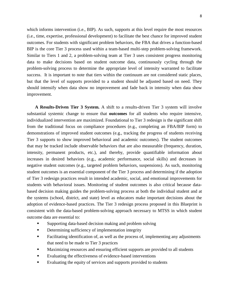which informs intervention (i.e., BIP). As such, supports at this level require the most resources (i.e., time, expertise, professional development) to facilitate the best chance for improved student outcomes. For students with significant problem behaviors, the FBA that drives a function-based BIP is the core Tier 3 process used within a team-based multi-step problem-solving framework. Similar to Tiers 1 and 2, a problem-solving team at Tier 3 uses consistent progress monitoring data to make decisions based on student outcome data, continuously cycling through the problem-solving process to determine the appropriate level of intensity warranted to facilitate success. It is important to note that tiers within the continuum are not considered static places, but that the level of supports provided to a student should be adjusted based on need. They should intensify when data show no improvement and fade back in intensity when data show improvement.

**A Results-Driven Tier 3 System.** A shift to a results-driven Tier 3 system will involve substantial systemic change to ensure that **outcomes** for all students who require intensive, individualized intervention are maximized. Foundational to Tier 3 redesign is the significant shift from the traditional focus on compliance procedures (e.g., completing an FBA/BIP form) to demonstrations of improved student outcomes (e.g., tracking the progress of students receiving Tier 3 supports to show improved behavioral and academic outcomes). The student outcomes that may be tracked include observable behaviors that are also measurable (frequency, duration, intensity, permanent products, etc.), and thereby, provide quantifiable information about increases in desired behaviors (e.g., academic performance, social skills) and decreases in negative student outcomes (e.g., targeted problem behaviors, suspensions). As such, monitoring student outcomes is an essential component of the Tier 3 process and determining if the adoption of Tier 3 redesign practices result in intended academic, social, and emotional improvements for students with behavioral issues. Monitoring of student outcomes is also critical because databased decision making guides the problem-solving process at both the individual student and at the systems (school, district, and state) level as educators make important decisions about the adoption of evidence-based practices. The Tier 3 redesign process proposed in this Blueprint is consistent with the data-based problem-solving approach necessary to MTSS in which student outcome data are essential to:

- Supporting data-based decision making and problem solving
- Determining sufficiency of implementation integrity
- Facilitating identification of, as well as the process of, implementing any adjustments that need to be made to Tier 3 practices
- Maximizing resources and ensuring efficient supports are provided to all students
- Evaluating the effectiveness of evidence-based interventions
- Evaluating the equity of services and supports provided to students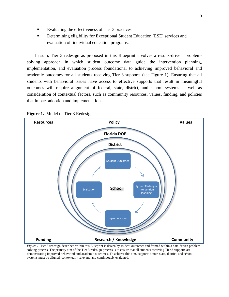- Evaluating the effectiveness of Tier 3 practices
- Determining eligibility for Exceptional Student Education (ESE) services and evaluation of individual education programs.

In sum, Tier 3 redesign as proposed in this Blueprint involves a results-driven, problemsolving approach in which student outcome data guide the intervention planning, implementation, and evaluation process foundational to achieving improved behavioral and academic outcomes for all students receiving Tier 3 supports (see Figure 1). Ensuring that all students with behavioral issues have access to effective supports that result in meaningful outcomes will require alignment of federal, state, district, and school systems as well as consideration of contextual factors, such as community resources, values, funding, and policies that impact adoption and implementation.



#### **Figure 1.** Model of Tier 3 Redesign

*Figure 1.* Tier 3 redesign described within this Blueprint is driven by student outcomes and framed within a data-driven problem solving process. The primary aim of the Tier 3 redesign process is to ensure that all students receiving Tier 3 supports are demonstrating improved behavioral and academic outcomes. To achieve this aim, supports across state, district, and school systems must be aligned, contextually relevant, and continuously evaluated.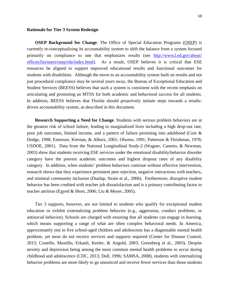#### **Rationale for Tier 3 System Redesign**

**OSEP Background for Change**. The Office of Special Education Programs [\(OSEP\)](http://www2.ed.gov/about/offices/list/osers/osep/index.html) is currently re-conceptualizing its accountability system to shift the balance from a system focused primarily on compliance to one that emphasizes results (see [http://www2.ed.gov/about/](http://www2.ed.gov/about/%20offices/list/osers/osep/rda/index.html)  [offices/list/osers/osep/rda/index.html\)](http://www2.ed.gov/about/%20offices/list/osers/osep/rda/index.html). As a result, OSEP believes it is critical that ESE resources be aligned to support improved educational results and functional outcomes for students with disabilities. Although the move to an accountability system built on results and not just procedural compliance may be several years away, the Bureau of Exceptional Education and Student Services (BEESS) believes that such a system is consistent with the recent emphasis on articulating and promoting an MTSS for both academic and behavioral success for all students. In addition, BEESS believes that Florida should proactively initiate steps towards a resultsdriven accountability system, as described in this document.

**Research Supporting a Need for Change***.* Students with serious problem behaviors are at the greatest risk of school failure, leading to marginalized lives including a high drop-out rate, poor job outcomes, limited income, and a pattern of failure persisting into adulthood (Coie & Dodge, 1998; Emerson, Kiernan, & Alborz, 2001; Olweus, 1991; Patterson & Fleishman, 1978; USDOE, 2001). Data from the National Longitudinal Study-2 (Wagner, Cameto, & Newman, 2003) show that students receiving ESE services under the emotional disability/behavior disorder category have the poorest academic outcomes and highest dropout rates of any disability category. In addition, when students' problem behaviors continue without effective intervention, research shows that they experience persistent peer rejection, negative interactions with teachers, and minimal community inclusion (Dunlap, Strain et al., 2006). Furthermore, disruptive student behavior has been credited with teacher job dissatisfaction and is a primary contributing factor to teacher attrition (Egyed & Short, 2006; Liu & Meyer, 2005).

Tier 3 supports, however, are not limited to students who qualify for exceptional student education or exhibit externalizing problem behavior (e.g., aggression, conduct problems, or antisocial behavior). Schools are charged with ensuring that all students can engage in learning, which means supporting a range of what are often complex behavioral needs. In America, approximately one in five school-aged children and adolescents has a diagnosable mental health problem, yet most do not receive services and supports required (Center for Disease Control, 2013; Costello, Mustillo, Erkanli, Keeler, & Angold, 2003; Greenberg et al., 2003). Despite anxiety and depression being among the most common mental health problems to occur during childhood and adolescence (CDC, 2013; Doll, 1996; SAMSA, 2008), students with internalizing behavior problems are more likely to go unnoticed and receive fewer services than those students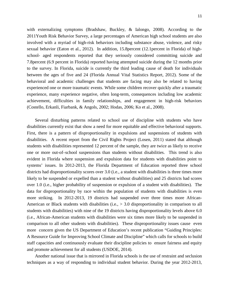with externalizing symptoms (Bradshaw, Buckley, & Ialongo, 2008). According to the 2011Youth Risk Behavior Survey, a large percentages of American high school students are also involved with a myriad of high-risk behaviors including substance abuse, violence, and risky sexual behavior (Eaton et al., 2012). In addition, 15.8percent (12.1percent in Florida) of highschool- aged respondents reported that they seriously considered committing suicide and 7.8percent (6.9 percent in Florida) reported having attempted suicide during the 12 months prior to the survey. In Florida, suicide is currently the third leading cause of death for individuals between the ages of five and 24 (Florida Annual Vital Statistics Report, 2012). Some of the behavioral and academic challenges that students are facing may also be related to having experienced one or more traumatic events. While some children recover quickly after a traumatic experience, many experience negative, often long-term, consequences including low academic achievement, difficulties in family relationships, and engagement in high-risk behaviors (Costello, Erkanli, Fiarbank, & Angols, 2002; Hodas, 2006; Ko et al., 2008).

Several disturbing patterns related to school use of discipline with students who have disabilities currently exist that show a need for more equitable and effective behavioral supports. First, there is a pattern of disproportionality in expulsions and suspensions of students with disabilities. A recent report from the Civil Rights Project (Losen, 2011) stated that although students with disabilities represented 12 percent of the sample, they are twice as likely to receive one or more out-of–school suspensions than students without disabilities. This trend is also evident in Florida where suspension and expulsion data for students with disabilities point to systems' issues. In 2012-2013, the Florida Department of Education reported three school districts had disproportionality scores over 3.0 (i.e., a student with disabilities is three times more likely to be suspended or expelled than a student without disabilities) and 25 districts had scores over 1.0 (i.e., higher probability of suspension or expulsion of a student with disabilities). The data for disproportionality by race within the population of students with disabilities is even more striking. In 2012-2013, 19 districts had suspended over three times more African-American or Black students with disabilities (i.e., > 3.0 disproportionality in comparison to all students with disabilities) with nine of the 19 districts having disproportionality levels above 6.0 (i.e., African-American students with disabilities were six times more likely to be suspended in comparison to all other students with disabilities). These disproportionality issues cause even more concern given the US Department of Education's recent publication "Guiding Principles: A Resource Guide for Improving School Climate and Discipline" which calls for schools to build staff capacities and continuously evaluate their discipline policies to ensure fairness and equity and promote achievement for all students (USDOE, 2014).

Another national issue that is mirrored in Florida schools is the use of restraint and seclusion techniques as a way of responding to individual student behavior. During the year 2012-2013,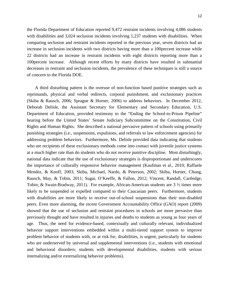the Florida Department of Education reported 9,472 restraint incidents involving 4,086 students with disabilities and 3,024 seclusion incidents involving 1,237 students with disabilities. When comparing seclusion and restraint incidents reported in the previous year, seven districts had an increase in seclusion incidents with two districts having more than a 100percent increase while 22 districts had an increase in restraint incidents with eight districts reporting more than a 100percent increase. Although recent efforts by many districts have resulted in substantial decreases in restraint and seclusion incidents, the prevalence of these techniques is still a source of concern to the Florida DOE.

A third disturbing pattern is the overuse of non-function based punitive strategies such as reprimands, physical and verbal redirects, corporal punishment, and exclusionary practices (Skiba & Rausch, 2006; Sprague & Horner, 2006) to address behaviors. In December 2012, Deborah Delisle, the Assistant Secretary for Elementary and Secondary Education, U.S. Department of Education, provided testimony to the "Ending the School-to-Prison Pipeline" hearing before the United States' Senate Judiciary Subcommittee on the Constitution, Civil Rights and Human Rights. She described a national pervasive pattern of schools using primarily punishing strategies (i.e., suspensions, expulsions, and referrals to law enforcement agencies) for addressing problem behaviors. Furthermore, Ms. Delisle provided data indicating that students who are recipients of these exclusionary methods come into contact with juvenile justice systems at a much higher rate than do students who do not receive punitive discipline. Most disturbingly, national data indicate that the use of exclusionary strategies is disproportionate and underscores the importance of culturally responsive behavior management (Kaufman et al., 2010; Raffaele Mendez, & Knoff, 2003; Skiba, Michael, Nardo, & Peterson, 2002; Skiba, Horner, Chung, Rausch, May, & Tobin, 2011; Sugai, O'Keeffe, & Fallon, 2012; Vincent, Randall, Cartledge, Tobin; & Swain-Bradway, 2011). For example, African-American students are  $3\frac{1}{2}$  times more likely to be suspended or expelled compared to their Caucasian peers. Furthermore, students with disabilities are more likely to receive out-of-school suspensions than their non-disabled peers. Even more alarming, the recent Government Accountability Office (GAO) report (2009) showed that the use of seclusion and restraint procedures in schools are more pervasive than previously thought and have resulted in injuries and deaths to students as young as four years of age. Thus, the need for evidence-based, contextually and culturally relevant, individualized behavior support interventions embedded within a multi-tiered support system to improve problem behavior of students with, or at risk for, disabilities, is urgent; particularly for students who are underserved by universal and supplemental interventions (i.e., students with emotional and behavioral disorders; students with developmental disabilities, students with serious internalizing and/or externalizing behavior problems).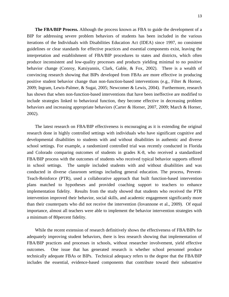**The FBA/BIP Process.** Although the process known as FBA to guide the development of a BIP for addressing severe problem behaviors of students has been included in the various iterations of the Individuals with Disabilities Education Act (IDEA) since 1997, no consistent guidelines or clear standards for effective practices and essential components exist, leaving the interpretation and establishment of FBA/BIP procedures to states and districts, which often produce inconsistent and low-quality processes and products yielding minimal to no positive behavior change (Conroy, Katsiyannis, Clark, Gable, & Fox, 2002). There is a wealth of convincing research showing that BIPs developed from FBAs are more effective in producing positive student behavior change than non-function-based interventions (e.g., Filter & Horner, 2009; Ingram, Lewis-Palmer, & Sugai, 2005; Newcomer & Lewis, 2004). Furthermore, research has shown that when non-function-based interventions that have been ineffective are modified to include strategies linked to behavioral function, they become effective in decreasing problem behaviors and increasing appropriate behaviors (Carter & Horner, 2007, 2009; March & Horner, 2002).

The latest research on FBA/BIP effectiveness is encouraging as it is extending the original research done in highly controlled settings with individuals who have significant cognitive and developmental disabilities to students with and without disabilities in authentic and diverse school settings. For example, a randomized controlled trial was recently conducted in Florida and Colorado comparing outcomes of students in grades K-8, who received a standardized FBA/BIP process with the outcomes of students who received typical behavior supports offered in school settings. The sample included students with and without disabilities and was conducted in diverse classroom settings including general education. The process, Prevent-Teach-Reinforce (PTR), used a collaborative approach that built function-based intervention plans matched to hypotheses and provided coaching support to teachers to enhance implementation fidelity. Results from the study showed that students who received the PTR intervention improved their behavior, social skills, and academic engagement significantly more than their counterparts who did not receive the intervention (Iovannone et al., 2009). Of equal importance, almost all teachers were able to implement the behavior intervention strategies with a minimum of 80percent fidelity.

While the recent extension of research definitively shows the effectiveness of FBA/BIPs for adequately improving student behaviors, there is less research showing that implementation of FBA/BIP practices and processes in schools, without researcher involvement, yield effective outcomes. One issue that has generated research is whether school personnel produce technically adequate FBAs or BIPs. Technical adequacy refers to the degree that the FBA/BIP includes the essential, evidence-based components that contribute toward their substantive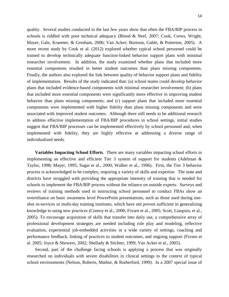quality. Several studies conducted in the last few years show that often the FBA/BIP process in schools is riddled with poor technical adequacy (Blood & Neel, 2007; Cook, Crews, Wright, Mayer, Gale, Kraemer, & Gresham, 2006; Van Acker; Boreson, Gable, & Potterton, 2005). A more recent study by Cook et al. (2012) explored whether typical school personnel could be trained to develop technically adequate function-linked behavior support plans with minimal researcher involvement. In addition, the study examined whether plans that included more essential components resulted in better student outcomes than plans missing components. Finally, the authors also explored the link between quality of behavior support plans and fidelity of implementation. Results of the study indicated that: (a) school teams could develop behavior plans that included evidence-based components with minimal researcher involvement; (b) plans that included more essential components were significantly more effective in improving student behavior than plans missing components; and (c) support plans that included more essential components were implemented with higher fidelity than plans missing components and were associated with improved student outcomes. Although there still needs to be additional research to address effective implementation of FBA/BIP procedures in school settings, initial studies suggest that FBA/BIP processes can be implemented effectively by school personnel and, when implemented with fidelity, they are highly effective at addressing a diverse range of individualized needs.

**Variables Impacting School Efforts***.* There are many variables impacting school efforts in implementing an effective and efficient Tier 3 system of support for students (Adelman & Taylor, 1998; Mayer, 1995; Sugai et al., 2000; Walker et al., 1996). First, the Tier 3 behavior process is acknowledged to be complex, requiring a variety of skills and expertise. The state and districts have struggled with providing the appropriate intensity of training that is needed for schools to implement the FBA/BIP process without the reliance on outside experts. Surveys and reviews of training methods used in instructing school personnel to conduct FBAs show an overreliance on basic awareness level PowerPoint presentations, such as those used during oneshot in-services or multi-day training institutes, which have not proven sufficient in generalizing knowledge to using new practices (Conroy et al., 2000; Fixsen et al., 2005; Scott, Liaupsin, et al., 2005). To encourage acquisition of skills that transfer into daily use, a comprehensive array of professional development strategies are needed including role play and modeling, reflective evaluation, experiential job-embedded activities in a wide variety of settings, coaching and performance feedback, linking of practices to student outcomes, and ongoing support (Fixsen et al. 2005; Joyce & Showers, 2002; Shellady & Stichter, 1999; Van Acker et al., 2005).

Second, part of the challenge facing schools is applying a process that was originally researched on individuals with severe disabilities in clinical settings to the context of typical school environments (Nelson, Roberts, Mathur, & Rutherford, 1999*)*. In a 2007 special issue of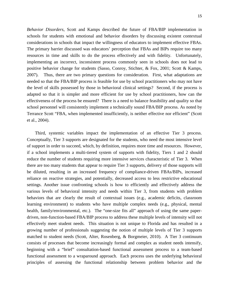*Behavior Disorders*, Scott and Kamps described the future of FBA/BIP implementation in schools for students with emotional and behavior disorders by discussing existent contextual considerations in schools that impact the willingness of educators to implement effective FBAs. The primary barrier discussed was educators' perception that FBAs and BIPs require too many resources in time and skills to do the process effectively and with fidelity. Unfortunately, implementing an incorrect, inconsistent process commonly seen in schools does not lead to positive behavior change for students (Sasso, Conroy, Stichter, & Fox, 2001; Scott & Kamps, 2007). Thus, there are two primary questions for consideration. First, what adaptations are needed so that the FBA/BIP process is feasible for use by school practitioners who may not have the level of skills possessed by those in behavioral clinical settings? Second, if the process is adapted so that it is simpler and more efficient for use by school practitioners, how can the effectiveness of the process be ensured? There is a need to balance feasibility and quality so that school personnel will consistently implement a technically sound FBA/BIP process. As noted by Terrance Scott "FBA, when implemented insufficiently, is neither effective nor efficient" (Scott et al., 2004).

Third, systemic variables impact the implementation of an effective Tier 3 process. Conceptually, Tier 3 supports are designated for the students, who need the most intensive level of support in order to succeed, which, by definition, requires more time and resources. However, if a school implements a multi-tiered system of supports with fidelity, Tiers 1 and 2 should reduce the number of students requiring more intensive services characteristic of Tier 3. When there are too many students that appear to require Tier 3 supports, delivery of those supports will be diluted, resulting in an increased frequency of compliance-driven FBAs/BIPs, increased reliance on reactive strategies, and potentially, decreased access to less restrictive educational settings. Another issue confronting schools is how to efficiently and effectively address the various levels of behavioral intensity and needs within Tier 3, from students with problem behaviors that are clearly the result of contextual issues (e.g., academic deficits, classroom learning environment) to students who have multiple complex needs (e.g., physical, mental health, family/environmental, etc.). The "one-size fits all" approach of using the same paperdriven, non-function-based FBA/BIP process to address these multiple levels of intensity will not effectively meet student needs. This situation is not unique to Florida and has resulted in a growing number of professionals suggesting the notion of multiple levels of Tier 3 supports matched to student needs (Scott, Alter, Rosenberg, & Borgmeier, 2010). A Tier 3 continuum consists of processes that become increasingly formal and complex as student needs intensify, beginning with a "brief" consultation-based functional assessment process to a team-based functional assessment to a wraparound approach. Each process uses the underlying behavioral principles of assessing the functional relationship between problem behavior and the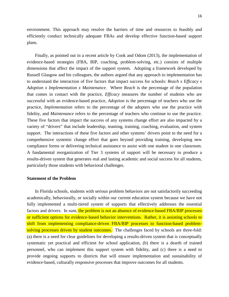environment. This approach may resolve the barriers of time and resources to feasibly and efficiently conduct technically adequate FBAs and develop effective function-based support plans.

Finally, as pointed out in a recent article by Cook and Odom (2013), the implementation of evidence-based strategies (FBA, BIP, coaching, problem-solving, etc.) consists of multiple dimensions that affect the impact of the support system. Adopting a framework developed by Russell Glasgow and his colleagues, the authors argued that any approach to implementation has to understand the interaction of five factors that impact success for schools: *Reach x Efficacy x Adoption x Implementation x Maintenance*. Where *Reach* is the percentage of the population that comes in contact with the practice, *Efficacy* measures the number of students who are successful with an evidence-based practice, *Adoption* is the percentage of teachers who use the practice, *Implementation* refers to the percentage of the adopters who use the practice with fidelity, and *Maintenance* refers to the percentage of teachers who continue to use the practice. These five factors that impact the success of any systems change effort are also impacted by a variety of "drivers" that include leadership, teaming, training, coaching, evaluation, and system support. The interactions of these five factors and other systems' drivers point to the need for a comprehensive systemic change effort that goes beyond providing training, developing new compliance forms or delivering technical assistance to assist with one student in one classroom. A fundamental reorganization of Tier 3 systems of support will be necessary to produce a results-driven system that generates real and lasting academic and social success for all students, particularly those students with behavioral challenges.

#### **Statement of the Problem**

In Florida schools, students with serious problem behaviors are not satisfactorily succeeding academically, behaviorally, or socially within our current education system because we have not fully implemented a multi-tiered system of supports that effectively addresses the essential factors and drivers. In sum, the problem is *not* an absence of evidence-based FBA/BIP processes or sufficient options for evidence-based behavior interventions. Rather, it is assisting schools to shift from implementing compliance-driven FBA/BIP processes to function-based problemsolving processes driven by student outcomes. The challenges faced by schools are three-fold: (a) there is a need for clear guidelines for developing a results-driven system that is conceptually systematic yet practical and efficient for school application, (b) there is a dearth of trained personnel, who can implement this support system with fidelity, and (c) there is a need to provide ongoing supports to districts that will ensure implementation and sustainability of evidence-based, culturally responsive processes that improve outcomes for all students.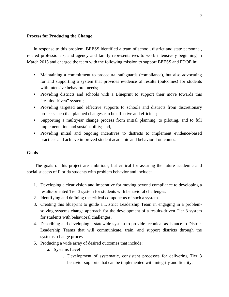#### **Process for Producing the Change**

In response to this problem, BEESS identified a team of school, district and state personnel, related professionals, and agency and family representatives to work intensively beginning in March 2013 and charged the team with the following mission to support BEESS and FDOE in:

- Maintaining a commitment to procedural safeguards (compliance), but also advocating for and supporting a system that provides evidence of results (outcomes) for students with intensive behavioral needs:
- Providing districts and schools with a Blueprint to support their move towards this "results-driven" system;
- Providing targeted and effective supports to schools and districts from discretionary projects such that planned changes can be effective and efficient;
- Supporting a multiyear change process from initial planning, to piloting, and to full implementation and sustainability; and,
- Providing initial and ongoing incentives to districts to implement evidence-based practices and achieve improved student academic and behavioral outcomes.

#### **Goals**

The goals of this project are ambitious, but critical for assuring the future academic and social success of Florida students with problem behavior and include:

- 1. Developing a clear vision and imperative for moving beyond compliance to developing a results-oriented Tier 3 system for students with behavioral challenges.
- 2. Identifying and defining the critical components of such a system.
- 3. Creating this blueprint to guide a District Leadership Team in engaging in a problemsolving systems change approach for the development of a results-driven Tier 3 system for students with behavioral challenges.
- 4. Describing and developing a statewide system to provide technical assistance to District Leadership Teams that will communicate, train, and support districts through the systems- change process.
- 5. Producing a wide array of desired outcomes that include:
	- a. Systems Level
		- i. Development of systematic, consistent processes for delivering Tier 3 behavior supports that can be implemented with integrity and fidelity;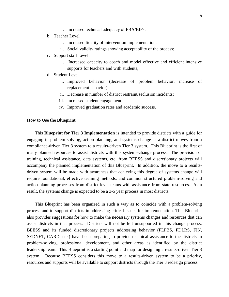- ii. Increased technical adequacy of FBA/BIPs;
- b. Teacher Level
	- i. Increased fidelity of intervention implementation;
	- ii. Social validity ratings showing acceptability of the process;
- c. Support staff Level:
	- i. Increased capacity to coach and model effective and efficient intensive supports for teachers and with students;
- d. Student Level
	- i. Improved behavior (decrease of problem behavior, increase of replacement behavior);
	- ii. Decrease in number of district restraint/seclusion incidents;
	- iii. Increased student engagement;
	- iv. Improved graduation rates and academic success.

#### **How to Use the Blueprint**

This **Blueprint for Tier 3 Implementation** is intended to provide districts with a guide for engaging in problem solving, action planning, and systems change as a district moves from a compliance-driven Tier 3 system to a results-driven Tier 3 system. This Blueprint is the first of many planned resources to assist districts with this systems-change process. The provision of training, technical assistance, data systems, etc. from BEESS and discretionary projects will accompany the planned implementation of this Blueprint. In addition, the move to a resultsdriven system will be made with awareness that achieving this degree of systems change will require foundational, effective teaming methods, and common structured problem-solving and action planning processes from district level teams with assistance from state resources. As a result, the systems change is expected to be a 3-5 year process in most districts.

This Blueprint has been organized in such a way as to coincide with a problem-solving process and to support districts in addressing critical issues for implementation. This Blueprint also provides suggestions for how to make the necessary systems changes and resources that can assist districts in that process. Districts will not be left unsupported in this change process. BEESS and its funded discretionary projects addressing behavior (FLPBS, FDLRS, FIN, SEDNET, CARD, etc.) have been preparing to provide technical assistance to the districts in problem-solving, professional development, and other areas as identified by the district leadership team. This Blueprint is a starting point and map for designing a results-driven Tier 3 system. Because BEESS considers this move to a results-driven system to be a priority, resources and supports will be available to support districts through the Tier 3 redesign process.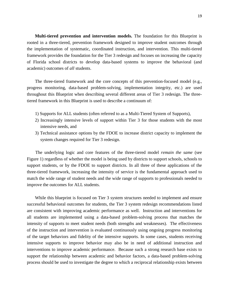**Multi-tiered prevention and intervention models.** The foundation for this Blueprint is rooted in a three-tiered, prevention framework designed to improve student outcomes through the implementation of systematic, coordinated instruction, and intervention. This multi-tiered framework provides the foundation for the Tier 3 redesign and focuses on increasing the capacity of Florida school districts to develop data-based systems to improve the behavioral (and academic) outcomes of *all* students.

The three-tiered framework and the core concepts of this prevention-focused model (e.g., progress monitoring, data-based problem-solving, implementation integrity, etc.) are used throughout this Blueprint when describing several different areas of Tier 3 redesign. The threetiered framework in this Blueprint is used to describe a continuum of:

- 1) Supports for ALL students (often referred to as a Multi-Tiered System of Supports),
- 2) Increasingly intensive levels of support within Tier 3 for those students with the most intensive needs, and
- 3) Technical assistance options by the FDOE to increase district capacity to implement the system changes required for Tier 3 redesign.

The underlying logic and core features of the three-tiered model *remain the same* (see Figure 1) regardless of whether the model is being used by districts to support schools, schools to support students, or by the FDOE to support districts. In all three of these applications of the three-tiered framework, increasing the intensity of service is the fundamental approach used to match the wide range of student needs and the wide range of supports to professionals needed to improve the outcomes for ALL students.

While this blueprint is focused on Tier 3 system structures needed to implement and ensure successful behavioral outcomes for students, the Tier 3 system redesign recommendations listed are consistent with improving academic performance as well. Instruction and interventions for all students are implemented using a data-based problem-solving process that matches the intensity of supports to meet student needs (both strengths and weaknesses). The effectiveness of the instruction and intervention is evaluated continuously using ongoing progress monitoring of the target behaviors and fidelity of the intensive supports. In some cases, students receiving intensive supports to improve behavior may also be in need of additional instruction and interventions to improve academic performance. Because such a strong research base exists to support the relationship between academic and behavior factors, a data-based problem-solving process should be used to investigate the degree to which a reciprocal relationship exists between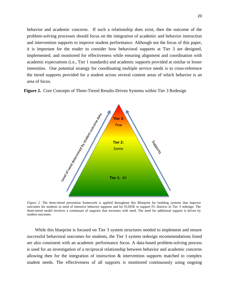behavior and academic concerns. If such a relationship does exist, then the outcome of the problem-solving processes should focus on the integration of academic and behavior instruction and intervention supports to improve student performance. Although not the focus of this paper, it is important for the reader to consider how behavioral supports at Tier 3 are designed, implemented, and monitored for effectiveness while ensuring alignment and coordination with academic expectations (i.e., Tier 1 standards) and academic supports provided at similar or lesser intensities. One potential strategy for coordinating multiple service needs is to cross-reference the tiered supports provided for a student across several content areas of which behavior is an area of focus.

**Figure 2.** Core Concepts of Three-Tiered Results-Driven Systems within Tier 3 Redesign



*Figure 2.* The three-tiered prevention framework is applied throughout this Blueprint for building systems that improve outcomes for students in need of intensive behavior supports and for FLDOE to support FL districts in Tier 3 redesign. The three-tiered model involves a continuum of supports that increases with need. The need for additional support is driven by student outcomes.

While this blueprint is focused on Tier 3 system structures needed to implement and ensure successful behavioral outcomes for students, the Tier 3 system redesign recommendations listed are also consistent with an academic performance focus. A data-based problem-solving process is used for an investigation of a reciprocal relationship between behavior and academic concerns allowing then for the integration of instruction & intervention supports matched to complex student needs. The effectiveness of all supports is monitored continuously using ongoing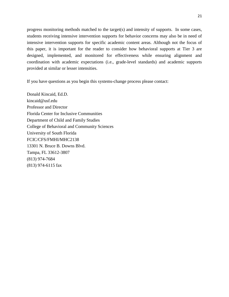progress monitoring methods matched to the target(s) and intensity of supports. In some cases, students receiving intensive intervention supports for behavior concerns may also be in need of intensive intervention supports for specific academic content areas. Although not the focus of this paper, it is important for the reader to consider how behavioral supports at Tier 3 are designed, implemented, and monitored for effectiveness while ensuring alignment and coordination with academic expectations (i.e., grade-level standards) and academic supports provided at similar or lesser intensities.

If you have questions as you begin this systems-change process please contact:

Donald Kincaid, Ed.D. kincaid@usf.edu Professor and Director Florida Center for Inclusive Communities Department of Child and Family Studies College of Behavioral and Community Sciences University of South Florida FCIC/CFS/FMHI/MHC2138 13301 N. Bruce B. Downs Blvd. Tampa, FL 33612-3807 (813) 974-7684 (813) 974-6115 fax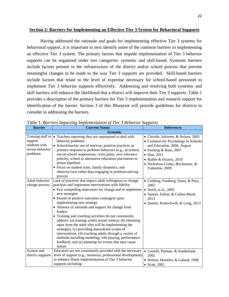#### **Section 2: Barriers for Implementing an Effective Tier 3 System for Behavioral Supports**

Having addressed the rationale and goals for implementing effective Tier 3 systems for behavioral support, it is important to next identify some of the common barriers to implementing an effective Tier 3 system. The primary factors that impede implementation of Tier 3 behavior supports can be organized under two categories: systemic and skill-based. Systemic barriers include factors present in the infrastructure of the district and/or school process that prevent meaningful changes to be made to the way Tier 3 supports are provided. Skill-based barriers include factors that relate to the level of expertise necessary for school-based personnel to implement Tier 3 behavior supports effectively. Addressing and resolving both systemic and skill barriers will enhance the likelihood that a district will improve their Tier 3 supports. Table 1 provides a description of the primary barriers for Tier 3 implementation and research support for identification of the barrier. Section 3 of this Blueprint will provide guidelines for districts to consider in addressing the barriers.

| <b>Barrier</b>                                                               | <b>Current Status</b>                                                                                                                                                                                                                                                                                                                                                                                                                                                                                                                                                                                                                                                                                                                                                | <b>References</b>                                                                                                                                                                                                                            |  |  |  |
|------------------------------------------------------------------------------|----------------------------------------------------------------------------------------------------------------------------------------------------------------------------------------------------------------------------------------------------------------------------------------------------------------------------------------------------------------------------------------------------------------------------------------------------------------------------------------------------------------------------------------------------------------------------------------------------------------------------------------------------------------------------------------------------------------------------------------------------------------------|----------------------------------------------------------------------------------------------------------------------------------------------------------------------------------------------------------------------------------------------|--|--|--|
|                                                                              | <b>Systemic</b>                                                                                                                                                                                                                                                                                                                                                                                                                                                                                                                                                                                                                                                                                                                                                      |                                                                                                                                                                                                                                              |  |  |  |
| Training staff to<br>support<br>students with<br>severe behavior<br>problems | • Teachers reporting they are unprepared to deal with<br>behavior problems<br>• School/teacher use of reactive, punitive practices as<br>primary response to problem behaviors (e.g., in-school,<br>out-of-school suspensions, crisis plans, zero tolerance<br>policies, school to alternative education placements to<br>prison pipeline)<br>• Focus on student traits, family dynamics, and<br>ethnicity/race rather than engaging in problem-solving<br>process                                                                                                                                                                                                                                                                                                   | • Christle, Jolivette, & Nelson, 2005<br>• Coalition for Psychology in Schools<br>and Education, 2006, August<br>• Fenning & Rose, 2007<br>• Hatt, 2011<br>• Raible & Irizarry, 2010<br>• Nicholson-Crotty, Birchmeier, &<br>Valentine, 2009 |  |  |  |
| Adult behavior<br>change process                                             | Lack of practices that impact adult willingness to change<br>practices and implement interventions with fidelity:<br>• Few compelling motivators for change and to implement<br>new strategies<br>• Dearth of positive outcomes contingent upon<br>implementing new strategy<br>• Absence of rationale and support for change from<br>leaders<br>• Training and coaching activities do not consistently<br>address: (a) training within actual context; (b) obtaining<br>input from the adult who will be implementing the<br>strategies, (c) providing manualized scripts of<br>interventions; (d) coaching adults through a variety of<br>methods including modeling, role playing, performance<br>feedback; and (e) planning for events that may cause<br>failure | • Codding, Feinberg, Dunn, & Pace,<br>2005<br>• Noell, et al., $2005$<br>• Sanetti, Fallon, & Collier-Meek,<br>2013<br>• Sanetti, Kratochwill, & Long, 2013                                                                                  |  |  |  |
| System and<br>district supports                                              | Educators are not consistently provided with the necessary<br>level of support (e.g., resources, professional development)<br>to enhance fluent implementation of Tier 3 behavior<br>supports including:                                                                                                                                                                                                                                                                                                                                                                                                                                                                                                                                                             | • Luiselli, Putman, & Sunderland,<br>2002<br>• Nelson, Martella, & Galand, 1998<br>$\bullet$ Scott, 2001                                                                                                                                     |  |  |  |

Table 1: *Barriers Impacting Implementation of Tier 3 Behavior Supports*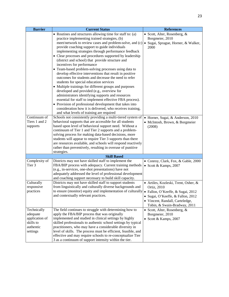| <b>Barrier</b> | <b>Current Status</b>                                                                                                | <b>References</b>                        |  |
|----------------|----------------------------------------------------------------------------------------------------------------------|------------------------------------------|--|
|                | • Routines and structures allowing time for staff to: (a)                                                            | • Scott, Alter, Rosenberg, &             |  |
|                | practice implementing trained strategies, (b)                                                                        | Borgmeier, 2010                          |  |
|                | meet/network to review cases and problem-solve, and (c) • Sugai, Sprague, Horner, & Walker,                          |                                          |  |
|                | provide coaching support to guide individuals                                                                        | 2000                                     |  |
|                | implementing strategies through performance feedback                                                                 |                                          |  |
|                | • Clear processes and procedures supported by leadership                                                             |                                          |  |
|                | (district and school) that provide structure and                                                                     |                                          |  |
|                | incentives for performance                                                                                           |                                          |  |
|                | • Team-based problem-solving processes using data to                                                                 |                                          |  |
|                | develop effective interventions that result in positive                                                              |                                          |  |
|                | outcomes for students and decrease the need to refer                                                                 |                                          |  |
|                | students for special education services                                                                              |                                          |  |
|                | • Multiple trainings for different groups and purposes                                                               |                                          |  |
|                | developed and provided (e.g., overview for                                                                           |                                          |  |
|                | administrators identifying supports and resources                                                                    |                                          |  |
|                | essential for staff to implement effective FBA process).                                                             |                                          |  |
|                | • Provision of professional development that takes into                                                              |                                          |  |
|                | consideration how it is delivered, who receives training,                                                            |                                          |  |
| Continuum of   | and what levels of training are required<br>Schools not consistently providing a multi-tiered system of              |                                          |  |
| Tiers 1 and 2  | behavioral supports that are accessible for all students                                                             | • Horner, Sugai, & Anderson, 2010        |  |
| supports       | based upon level of behavioral support need. Without a                                                               | · McIntosh, Brown, & Borgmeier<br>(2008) |  |
|                | continuum of Tier 1 and Tier 2 supports and a problem-                                                               |                                          |  |
|                | solving process for making data-based decisions, more                                                                |                                          |  |
|                | students will appear to require Tier 3 supports than there                                                           |                                          |  |
|                | are resources available, and schools will respond reactively                                                         |                                          |  |
|                | rather than preventively, resulting in overuse of punitive                                                           |                                          |  |
|                | strategies.                                                                                                          |                                          |  |
|                | <b>Skill Based</b>                                                                                                   |                                          |  |
| Complexity of  | Districts may not have skilled staff to implement the                                                                | · Conroy, Clark, Fox, & Gable, 2000      |  |
| Tier 3         | FBA/BIP process with adequacy. Current training methods                                                              | • Scott & Kamps, 2007                    |  |
|                | (e.g., in-services, one-shot presentations) have not                                                                 |                                          |  |
|                | adequately addressed the level of professional development                                                           |                                          |  |
|                | and coaching support necessary to build skill capacity.                                                              |                                          |  |
| Culturally     | Districts may not have skilled staff to support students                                                             | · Artiles, Kozleski, Trent, Osher, &     |  |
| responsive     | from linguistically and culturally diverse backgrounds and                                                           | Ortiz, 2010                              |  |
| practices      | to ensure (monitor) equity and implementation of culturally                                                          | • Fallon, O'Keeffe, & Sugai, 2012        |  |
|                | and contextually relevant practices.                                                                                 | · Sugai, O'Keeffe, & Fallon, 2012        |  |
|                |                                                                                                                      | • Vincent, Randall, Carteledge,          |  |
|                |                                                                                                                      | Tobin, & Swain-Bradway, 2011             |  |
| Technically    | The field continues to struggle with determining how to                                                              | • Scott, Alter, Rosenberg, &             |  |
| adequate       | apply the FBA/BIP process that was originally                                                                        | Borgmeier, 2010                          |  |
| application of | implemented and studied in clinical settings by highly                                                               | • Scott & Kamps, 2007                    |  |
| skills to      | skilled professionals to authentic school settings by typical                                                        |                                          |  |
| authentic      | practitioners, who may have a considerable diversity in                                                              |                                          |  |
| settings       | level of skills. The process must be efficient, feasible, and                                                        |                                          |  |
|                | effective and may require schools to re-conceptualize Tier<br>3 as a continuum of support intensity within the tier. |                                          |  |
|                |                                                                                                                      |                                          |  |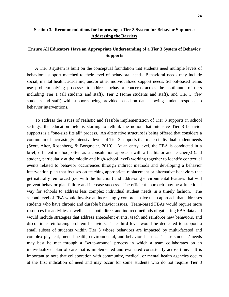# **Section 3. Recommendations for Improving a Tier 3 System for Behavior Supports: Addressing the Barriers**

# **Ensure All Educators Have an Appropriate Understanding of a Tier 3 System of Behavior Supports**

A Tier 3 system is built on the conceptual foundation that students need multiple levels of behavioral support matched to their level of behavioral needs. Behavioral needs may include social, mental health, academic, and/or other individualized support needs. School-based teams use problem-solving processes to address behavior concerns across the continuum of tiers including Tier 1 (all students and staff), Tier 2 (some students and staff), and Tier 3 (few students and staff) with supports being provided based on data showing student response to behavior interventions.

To address the issues of realistic and feasible implementation of Tier 3 supports in school settings, the education field is starting to rethink the notion that intensive Tier 3 behavior supports is a "one-size fits all" process. An alternative structure is being offered that considers a continuum of increasingly intensive levels of Tier 3 supports that match individual student needs (Scott, Alter, Rosenberg, & Borgmeier, 2010). At an entry level, the FBA is conducted in a brief, efficient method, often as a consultation approach with a facilitator and teacher(s) (and student, particularly at the middle and high-school level) working together to identify contextual events related to behavior occurrences through indirect methods and developing a behavior intervention plan that focuses on teaching appropriate replacement or alternative behaviors that get naturally reinforced (i.e. with the function) and addressing environmental features that will prevent behavior plan failure and increase success. The efficient approach may be a functional way for schools to address less complex individual student needs in a timely fashion. The second level of FBA would involve an increasingly comprehensive team approach that addresses students who have chronic and durable behavior issues. Team-based FBAs would require more resources for activities as well as use both direct and indirect methods of gathering FBA data and would include strategies that address antecedent events, teach and reinforce new behaviors, and discontinue reinforcing problem behaviors. The third level would be dedicated to support a small subset of students within Tier 3 whose behaviors are impacted by multi-faceted and complex physical, mental health, environmental, and behavioral issues. These students' needs may best be met through a "wrap-around" process in which a team collaborates on an individualized plan of care that is implemented and evaluated consistently across time. It is important to note that collaboration with community, medical, or mental health agencies occurs at the first indication of need and may occur for some students who do not require Tier 3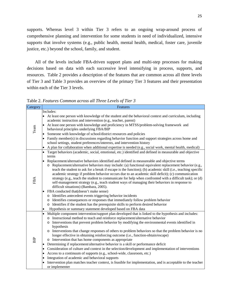supports. Whereas level 3 within Tier 3 refers to an ongoing wrap-around process of comprehensive planning and intervention for some students in need of individualized, intensive supports that involve systems (e.g., public health, mental health, medical, foster care, juvenile justice, etc.) beyond the school, family, and student.

All of the levels include FBA-driven support plans and multi-step processes for making decisions based on data with each successive level intensifying in process, supports, and resources. Table 2 provides a description of the features that are common across all three levels of Tier 3 and Table 3 provides an overview of the primary Tier 3 features and their presentation within each of the Tier 3 levels.

Table 2. *Features Common across all Three Levels of Tier 3*

| Category   | Features                                                                                                                                                                                                  |
|------------|-----------------------------------------------------------------------------------------------------------------------------------------------------------------------------------------------------------|
|            | Includes:                                                                                                                                                                                                 |
|            | At least one person with knowledge of the student and the behavioral context and curriculum, including<br>$\bullet$                                                                                       |
|            | academic instruction and intervention (e.g., teacher, parent)                                                                                                                                             |
|            | At least one person with knowledge and proficiency in MTSS/problem-solving framework and<br>$\bullet$                                                                                                     |
| Team       | behavioral principles underlying FBA/BIP                                                                                                                                                                  |
|            | Someone with knowledge of school/district resources and policies<br>$\bullet$                                                                                                                             |
|            | Family member(s) in discussions regarding behavior function and support strategies across home and<br>$\bullet$                                                                                           |
|            | school settings, student preferences/interests, and intervention history                                                                                                                                  |
|            | A plan for collaboration when additional expertise is needed (e.g., social work, mental health, medical)<br>$\bullet$                                                                                     |
|            | Target behaviors (academic, social, emotional, etc.) identified and defined in measurable and objective<br>$\bullet$                                                                                      |
|            | terms                                                                                                                                                                                                     |
|            | Replacement/alternative behaviors identified and defined in measureable and objective terms<br>$\bullet$                                                                                                  |
|            | o Replacement/alternative behaviors may include: (a) functional equivalent replacement behavior (e.g.,                                                                                                    |
|            | teach the student to ask for a break if escape is the function); (b) academic skill (i.e., teaching specific                                                                                              |
|            | academic strategy if problem behavior occurs due to an academic skill deficit); (c) communication                                                                                                         |
| FBA        | strategy (e.g., teach the student to communicate for help when confronted with a difficult task); or (d)<br>self-management strategy (e.g., teach student ways of managing their behaviors in response to |
|            | difficult situations) (Bambara, 2005).                                                                                                                                                                    |
|            | FBA conducted that (doesn't make sense)                                                                                                                                                                   |
|            | o Identifies antecedent events triggering behavior incidents                                                                                                                                              |
|            | Identifies consequences or responses that immediately follow problem behavior<br>$\circ$                                                                                                                  |
|            | Identifies if the student has the prerequisite skills to perform desired behavior<br>$\circ$                                                                                                              |
|            | Hypothesis or summary statement developed based on FBA data<br>$\bullet$                                                                                                                                  |
|            | Multiple component intervention/support plan developed that is linked to the hypothesis and includes:<br>$\bullet$                                                                                        |
|            | o Instructional method to teach and reinforce replacement/alternative behavior                                                                                                                            |
|            | Interventions that prevent problem behavior by modifying the environmental events identified in<br>$\circ$                                                                                                |
|            | hypothesis                                                                                                                                                                                                |
|            | o Interventions that change responses of others to problem behaviors so that the problem behavior is no                                                                                                   |
|            | longer effective in obtaining reinforcing outcome (i.e., function-obtain/escape)                                                                                                                          |
| <b>BIP</b> | o Intervention that has home components as appropriate                                                                                                                                                    |
|            | Determining if replacement/alternative behavior is a skill or performance deficit<br>٠                                                                                                                    |
|            | Consideration of culture and context in the selection/development and implementation of interventions<br>٠                                                                                                |
|            | Access to a continuum of supports (e.g., school-wide, classroom, etc.)<br>٠                                                                                                                               |
|            | Integration of academic and behavioral supports<br>$\bullet$                                                                                                                                              |
|            | Intervention plan matches teacher context, is feasible for implementation, and is acceptable to the teacher<br>٠                                                                                          |
|            | or implementer                                                                                                                                                                                            |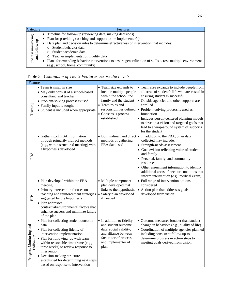| Category                                   | <b>Features</b>                                                                                            |
|--------------------------------------------|------------------------------------------------------------------------------------------------------------|
|                                            | Timeline for follow-up (reviewing data, making decisions)                                                  |
| Progress monitoring<br>and follow up<br>ਦਿ | Plan for providing coaching and support to the implementer(s)                                              |
|                                            | Data plan and decision rules to determine effectiveness of intervention that includes:                     |
|                                            | Student behavior data                                                                                      |
|                                            | Student academic data<br>$\circ$                                                                           |
|                                            | Teacher implementation fidelity data<br>$\circ$                                                            |
|                                            | Plans for extending behavior interventions to ensure generalization of skills across multiple environments |
|                                            | (e.g., school, home, community)                                                                            |

| Table 3. Continuum of Tier 3 Features across the Levels |  |  |
|---------------------------------------------------------|--|--|
|                                                         |  |  |

| Feature                              |                                                                                                                                                                                                                                                                                                                                                                   |                                                                                                                                                                 |                                                                                                                                                                                                                                                                                                                                                                                                                                   |
|--------------------------------------|-------------------------------------------------------------------------------------------------------------------------------------------------------------------------------------------------------------------------------------------------------------------------------------------------------------------------------------------------------------------|-----------------------------------------------------------------------------------------------------------------------------------------------------------------|-----------------------------------------------------------------------------------------------------------------------------------------------------------------------------------------------------------------------------------------------------------------------------------------------------------------------------------------------------------------------------------------------------------------------------------|
| Teaming                              | • Team is small in size<br>· May only consist of a school-based<br>consultant and teacher<br>• Problem-solving process is used<br>• Family input is sought<br>• Student is included when appropriate                                                                                                                                                              | • Team size expands to<br>include multiple people<br>within the school, the<br>family and the student<br>• Team roles and<br>• Consensus process<br>established | • Team size expands to include people from<br>all areas of student's life who are vested in<br>ensuring student is successful<br>• Outside agencies and other supports are<br>enrolled<br>responsibilities defined • Problem-solving process is used as<br>foundation<br>• Includes person-centered planning models<br>to develop a vision and targeted goals that<br>lead to a wrap-around system of supports<br>for the student |
| FBA                                  | • Gathering of FBA information<br>through primarily indirect methods<br>(e.g., within structured meeting) with<br>a hypothesis developed                                                                                                                                                                                                                          | methods of gathering<br>FBA data used                                                                                                                           | • Both indirect and direct • In addition to the FBA, other data<br>collected may include:<br>• Strength-needs assessment<br>• Goals/vision reflecting voice of student<br>and family<br>• Personal, family, and community<br>resources<br>• Other assessment information to identify<br>additional areas of need or conditions that<br>inform intervention (e.g., medical exam)                                                   |
| <b>BIP</b>                           | • Plan developed within the FBA<br>meeting<br>• Primary intervention focuses on<br>teaching and reinforcement strategies<br>suggested by the hypothesis<br>• Plan addresses<br>contextual/environmental factors that<br>enhance success and minimize failure<br>of the plan                                                                                       | • Multiple component<br>plan developed that<br>links to the hypothesis.<br>• Safety plan developed<br>if needed                                                 | • Full range of intervention options<br>considered<br>• Action plan that addresses goals<br>developed from vision                                                                                                                                                                                                                                                                                                                 |
| Progress Monitoring and<br>Follow-up | • Plan for collecting student outcome<br>data<br>• Plan for collecting fidelity of<br>intervention implementation<br>• Plan for following up with team<br>within reasonable time frame (e.g.,<br>three weeks) to review response to<br>intervention<br>• Decision-making structure<br>established for determining next steps<br>based on response to intervention | • In addition to fidelity<br>and student outcome<br>data, social validity,<br>and alliance between<br>facilitator of process<br>and implementer of<br>plan      | • Outcome measures broader than student<br>change in behaviors (e.g., quality of life)<br>• Coordination of multiple agencies planned<br>including consistent follow-up to<br>determine progress in action steps to<br>meeting goals derived from vision                                                                                                                                                                          |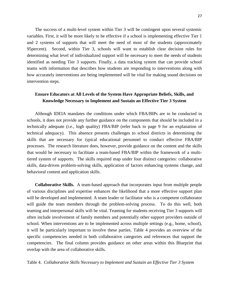The success of a multi-level system within Tier 3 will be contingent upon several systemic variables. First, it will be more likely to be effective if a school is implementing effective Tier 1 and 2 systems of supports that will meet the need of most of the students (approximately 95percent). Second, within Tier 3, schools will want to establish clear decision rules for determining what level of individualized support will be necessary to meet the needs of students identified as needing Tier 3 supports. Finally, a data tracking system that can provide school teams with information that describes how students are responding to interventions along with how accurately interventions are being implemented will be vital for making sound decisions on intervention steps.

## **Ensure Educators at All Levels of the System Have Appropriate Beliefs, Skills, and Knowledge Necessary to Implement and Sustain an Effective Tier 3 System**

Although IDEIA mandates the conditions under which FBA/BIPs are to be conducted in schools, it does not provide any further guidance on the components that should be included in a technically adequate (i.e., high quality) FBA/BIP (refer back to page 9 for an explanation of technical adequacy). This absence presents challenges to school districts in determining the skills that are necessary for typical educational personnel to conduct effective FBA/BIP processes. The research literature does, however, provide guidance on the content and the skills that would be necessary to facilitate a team-based FBA/BIP within the framework of a multitiered system of supports. The skills required map under four distinct categories: collaborative skills, data-driven problem-solving skills, application of factors enhancing systems change, and behavioral content and application skills.

**Collaborative Skills.** A team-based approach that incorporates input from multiple people of various disciplines and expertise enhances the likelihood that a more effective support plan will be developed and implemented. A team leader or facilitator who is a competent collaborator will guide the team members through the problem-solving process. To do this well, both teaming and interpersonal skills will be vital. Teaming for students receiving Tier 3 supports will often include involvement of family members and potentially other support providers outside of school. When interventions are to be implemented across multiple settings (e.g., home, school), it will be particularly important to involve these parties. Table 4 provides an overview of the specific competencies needed in both collaborative categories and references that support the competencies. The final column provides guidance on other areas within this Blueprint that overlap with the area of collaborative skills.

Table 4. *Collaborative Skills Necessary to Implement and Sustain an Effective Tier 3 System*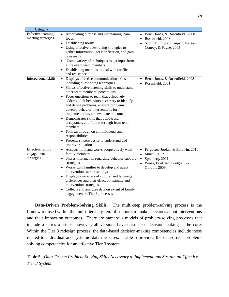| Category                                     |                                                                                                                                                                                                                                                                                                                                                                                                                                                                                                                                                                                                                                                                                     |                                                                                                                      |
|----------------------------------------------|-------------------------------------------------------------------------------------------------------------------------------------------------------------------------------------------------------------------------------------------------------------------------------------------------------------------------------------------------------------------------------------------------------------------------------------------------------------------------------------------------------------------------------------------------------------------------------------------------------------------------------------------------------------------------------------|----------------------------------------------------------------------------------------------------------------------|
| Effective teaming/<br>meeting strategies     | Articulating purpose and maintaining team<br>$\bullet$<br>focus<br>Establishing norms<br>٠<br>Using effective questioning strategies to<br>$\bullet$<br>gather information, get clarification, and gain<br>consensus<br>Using variety of techniques to get input from<br>$\bullet$<br>all relevant team members<br>Establishing methods to deal with conflicts<br>$\bullet$<br>and resistance                                                                                                                                                                                                                                                                                       | • Benn, Jones, & Rosenfield, 2008<br>Rosenfield, 2008<br>Scott, McIntyre, Liaupsin, Nelson,<br>Conroy, & Payne, 2005 |
| Interpersonal skills                         | Displays effective communication skills<br>$\bullet$<br>including questioning techniques<br>Shows effective listening skills to understand<br>$\bullet$<br>other team members' perceptions<br>Poses questions to team that effectively<br>$\bullet$<br>address adult behaviors necessary to identify<br>and define problems, analyze problems,<br>develop behavior interventions for<br>implementation, and evaluate outcomes<br>Demonstrates skills that build trust,<br>$\bullet$<br>acceptance, and follow-through from team<br>members<br>Follows through on commitments and<br>$\bullet$<br>responsibilities<br>Presents sincere desire to understand and<br>improve situation | Benn, Jones, & Rosenfield, 2008<br>Rosenfield, 2001                                                                  |
| Effective family<br>engagement<br>strategies | Accepts input and works cooperatively with<br>$\bullet$<br>family members<br>Shares information regarding behavior support<br>strategies<br>Works with families to develop and adapt<br>interventions across settings<br>Displays awareness of cultural and language<br>$\bullet$<br>differences and their effect on teaming and<br>intervention strategies<br>Collects and analyzes data on extent of family<br>engagement in Tier 3 processes                                                                                                                                                                                                                                     | Ferguson, Jordan, & Baldwin, 2010<br>Minch, 2012<br>Spielberg, 2011<br>Weiss, Bouffard, Bridglall, &<br>Gordon, 2009 |

**Data-Driven Problem-Solving Skills.** The multi-step problem-solving process is the framework used within the multi-tiered system of supports to make decisions about interventions and their impact on outcomes. There are numerous models of problem-solving processes that include a series of steps; however, all versions have data-based decision making at the core. Within the Tier 3 redesign process, the data-based decision-making competencies include those related to individual and systemic data measures. Table 5 provides the data-driven problemsolving competencies for an effective Tier 3 system.

Table 5. *Data-Driven Problem-Solving Skills Necessary to Implement and Sustain an Effective Tier 3 System*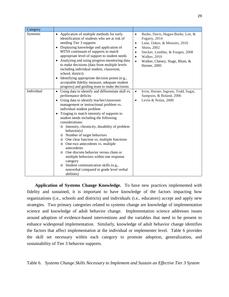| Category   |                                                                                                                                                                                                                                                                                                                                                                                                                                                                                                                                                                                                                                                                                                                                                                 |                                                                                                                                                                                                                                                                         |
|------------|-----------------------------------------------------------------------------------------------------------------------------------------------------------------------------------------------------------------------------------------------------------------------------------------------------------------------------------------------------------------------------------------------------------------------------------------------------------------------------------------------------------------------------------------------------------------------------------------------------------------------------------------------------------------------------------------------------------------------------------------------------------------|-------------------------------------------------------------------------------------------------------------------------------------------------------------------------------------------------------------------------------------------------------------------------|
| Systemic   | Application of multiple methods for early<br>identification of students who are at risk of<br>needing Tier 3 supports<br>Displaying knowledge and application of<br>$\bullet$<br>MTSS continuum of supports to match<br>appropriate level of support to student needs<br>Analyzing and using progress-monitoring data<br>$\bullet$<br>to make decisions (data from multiple levels<br>including individual student, classroom,<br>school, district)<br>Identifying appropriate decision points (e.g.,<br>$\bullet$<br>acceptable fidelity measure, adequate student<br>progress) and guiding team to make decisions                                                                                                                                             | Burke, Davis, Hagan-Burke, Lee, &<br>$\bullet$<br>Fogarty, 2014<br>Lane, Oakes, & Menzies, 2010<br>$\bullet$<br>Shinn, 2002<br>$\bullet$<br>Stecker, Lembke, & Foegen, 2008<br>$\bullet$<br>Walker, 2010<br>$\bullet$<br>Walker, Cheney, Stage, Blum, &<br>Horner, 2005 |
| Individual | Using data to identify and differentiate skill vs.<br>$\bullet$<br>performance deficits<br>Using data to identify teacher/classroom<br>management or instructional problem vs.<br>individual student problem<br>Triaging to match intensity of supports to<br>$\bullet$<br>student needs including the following<br>considerations:<br>Intensity, chronicity, durability of problem<br>behavior(s)<br>Number of target behaviors<br>O<br>One clear function vs. multiple functions<br>O<br>One-two antecedents vs. multiple<br>O<br>antecedents<br>One discrete behavior versus chain or<br>O<br>multiple behaviors within one response<br>category<br>Student communication skills (e.g.,<br>$\circ$<br>nonverbal compared to grade level verbal<br>abilities) | Irvin, Horner, Ingram, Todd, Sugai,<br>$\bullet$<br>Sampson, & Boland, 2006<br>Levin & Nolan, 2000<br>$\bullet$                                                                                                                                                         |

**Application of Systems Change Knowledge.** To have new practices implemented with fidelity and sustained, it is important to have knowledge of the factors impacting how organizations (i.e., schools and districts) and individuals (i.e., educators) accept and apply new strategies. Two primary categories related to systems change are knowledge of implementation science and knowledge of adult behavior change. Implementation science addresses issues around adoption of evidence-based interventions and the variables that need to be present to enhance widespread implementation. Similarly, knowledge of adult behavior change identifies the factors that affect implementation at the individual or implementer level. Table 6 provides the skill set necessary within each category to promote adoption, generalization, and sustainability of Tier 3 behavior supports.

Table 6. *Systems Change Skills Necessary to Implement and Sustain an Effective Tier 3 System*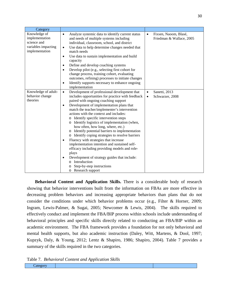| Category                                                                               |                                                                                                                                                                                                                                                                                                                                                                                                                                                                                                                                                                                                                                                                                                                                                                                                                                     |                                                                |
|----------------------------------------------------------------------------------------|-------------------------------------------------------------------------------------------------------------------------------------------------------------------------------------------------------------------------------------------------------------------------------------------------------------------------------------------------------------------------------------------------------------------------------------------------------------------------------------------------------------------------------------------------------------------------------------------------------------------------------------------------------------------------------------------------------------------------------------------------------------------------------------------------------------------------------------|----------------------------------------------------------------|
| Knowledge of<br>implementation<br>science and<br>variables impacting<br>implementation | Analyze systemic data to identify current status<br>$\bullet$<br>and needs of multiple systems including<br>individual, classroom, school, and district<br>Use data to help determine changes needed that<br>$\bullet$<br>match needs<br>Use data to sustain implementation and build<br>$\bullet$<br>capacity<br>Define and develop coaching systems<br>$\bullet$<br>Develop pilot (e.g., selecting first cohort for<br>$\bullet$<br>change process, training cohort, evaluating<br>outcomes, refining) processes to initiate changes<br>Identify supports necessary to enhance ongoing<br>$\bullet$<br>implementation                                                                                                                                                                                                             | Fixsen, Naoom, Blasé,<br>$\bullet$<br>Friedman & Wallace, 2005 |
| Knowledge of adult-<br>behavior change<br>theories                                     | Development of professional development that<br>$\bullet$<br>includes opportunities for practice with feedback<br>paired with ongoing coaching support<br>Development of implementation plans that<br>match the teacher/implementer's intervention<br>actions with the context and includes:<br>o Identify specific intervention steps<br>o Identify logistics of implementation (when,<br>how often, how long, where, etc.)<br>o Identify potential barriers to implementation<br>o Identify coping strategies to resolve barriers<br>Fluency with strategies that increase<br>٠<br>implementation intention and sustained self-<br>efficacy including providing models and role-<br>plays<br>Development of strategy guides that include:<br>Introduction<br>$\Omega$<br>Step-by-step instructions<br>Research support<br>$\circ$ | Sanetti, 2013<br>$\bullet$<br>Schwarzer, 2008<br>$\bullet$     |

**Behavioral Content and Application Skills.** There is a considerable body of research showing that behavior interventions built from the information on FBAs are more effective in decreasing problem behaviors and increasing appropriate behaviors than plans that do not consider the conditions under which behavior problems occur (e.g., Filter & Horner, 2009; Ingram, Lewis-Palmer, & Sugai, 2005; Newcomer & Lewis, 2004). The skills required to effectively conduct and implement the FBA/BIP process within schools include understanding of behavioral principles and specific skills directly related to conducting an FBA/BIP within an academic environment. The FBA framework provides a foundation for not only behavioral and mental health supports, but also academic instruction (Daley, Witt, Martens, & Dool, 1997; Kupzyk, Daly, & Young, 2012; Lentz & Shapiro, 1986; Shapiro, 2004). Table 7 provides a summary of the skills required in the two categories.

Table 7. *Behavioral Content and Application Skills*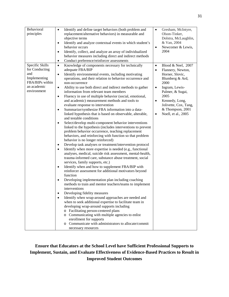| Behavioral      | Identify and define target behaviors (both problem and<br>$\bullet$    | $\bullet$ | Gresham, McIntyre,    |
|-----------------|------------------------------------------------------------------------|-----------|-----------------------|
| principles      | replacement/alternative behaviors) in measurable and                   |           | Olson-Tinker,         |
|                 | objective terms                                                        |           | Dolstra, McLaughlin,  |
|                 | Identify and analyze contextual events in which student's<br>$\bullet$ |           | & Van, 2004           |
|                 | behavior occurs                                                        | $\bullet$ | Newcomer & Lewis,     |
|                 | Identify, collect, and analyze an array of individualized<br>$\bullet$ |           | 2004                  |
|                 | behavior measures including direct and indirect methods                |           |                       |
|                 | Conduct preference/reinforcer assessments<br>٠                         |           |                       |
| Specific Skills | Knowledge of components necessary for technically<br>$\bullet$         | $\bullet$ | Blood & Neel, 2007    |
| for Conducting  | adequate FBA/BIP                                                       | $\bullet$ | Flannery, Newton,     |
| and             | Identify environmental events, including motivating<br>$\bullet$       |           | Horner, Slovic,       |
| Implementing    | operations, and their relation to behavior occurrence and              |           | Blumberg & Ard,       |
| FBA/BIPs within | non-occurrence                                                         |           | 2000                  |
| an academic     | Ability to use both direct and indirect methods to gather<br>٠         | $\bullet$ | Ingram, Lewis-        |
| environment     | information from relevant team members                                 |           | Palmer, & Sugai,      |
|                 | Fluency in use of multiple behavior (social, emotional,<br>$\bullet$   |           | 2005                  |
|                 | and academic) measurement methods and tools to                         | $\bullet$ | Kennedy, Long,        |
|                 | evaluate response to intervention                                      |           | Jolivette, Cox, Tang, |
|                 | Summarize/synthesize FBA information into a data-<br>٠                 |           | & Thompson, 2001      |
|                 | linked hypothesis that is based on observable, alterable,              | $\bullet$ | Noell, et al., 2005   |
|                 | and testable conditions                                                |           |                       |
|                 | Select/develop multi-component behavior interventions<br>٠             |           |                       |
|                 | linked to the hypothesis (includes interventions to prevent            |           |                       |
|                 | problem behavior occurrence, teaching replacement                      |           |                       |
|                 | behaviors, and reinforcing with function so that problem               |           |                       |
|                 | behavior is no longer reinforced)                                      |           |                       |
|                 | Develop task analyses or treatment/intervention protocol<br>٠          |           |                       |
|                 | Identify when more expertise is needed (e.g., functional<br>$\bullet$  |           |                       |
|                 | analyses, medical, suicide risk assessment, mental-health,             |           |                       |
|                 | trauma-informed care, substance abuse treatment, social                |           |                       |
|                 | services, family supports, etc.)                                       |           |                       |
|                 | Identify when and how to supplement FBA/BIP with<br>$\bullet$          |           |                       |
|                 | reinforcer assessment for additional motivators beyond                 |           |                       |
|                 | function                                                               |           |                       |
|                 | Developing implementation plan including coaching<br>٠                 |           |                       |
|                 | methods to train and mentor teachers/teams to implement                |           |                       |
|                 | interventions                                                          |           |                       |
|                 | Developing fidelity measures                                           |           |                       |
|                 | Identify when wrap-around approaches are needed and<br>$\bullet$       |           |                       |
|                 | when to seek additional expertise to facilitate team in                |           |                       |
|                 | developing wrap-around supports including                              |           |                       |
|                 | o Facilitating person-centered plans                                   |           |                       |
|                 | o Communicating with multiple agencies to enlist                       |           |                       |
|                 | enrollment for supports                                                |           |                       |
|                 | Communicate with administrators to allocate/commit                     |           |                       |
|                 | necessary resources                                                    |           |                       |

**Ensure that Educators at the School Level have Sufficient Professional Supports to Implement, Sustain, and Evaluate Effectiveness of Evidence-Based Practices to Result in Improved Student Outcomes**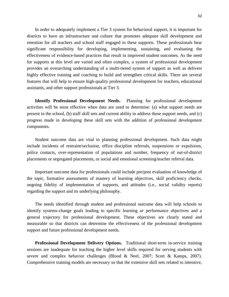In order to adequately implement a Tier 3 system for behavioral support, it is important for districts to have an infrastructure and culture that promotes adequate skill development and retention for all teachers and school staff engaged in these supports. These professionals bear significant responsibility for developing, implementing, sustaining, and evaluating the effectiveness of evidence-based practices that result in improved student outcomes. As the need for supports at this level are varied and often complex, a system of professional development provides an overarching understanding of a multi-tiered system of support as well as delivers highly effective training and coaching to build and strengthen critical skills. There are several features that will help to ensure high-quality professional development for teachers, educational assistants, and other support professionals at Tier 3.

**Identify Professional Development Needs.** Planning for professional development activities will be most effective when data are used to determine: (a) what support needs are present in the school, (b) staff skill sets and current ability to address these support needs, and (c) progress made in developing these skill sets with the addition of professional development components.

Student outcome data are vital to planning professional development. Such data might include incidents of restraint/seclusion, office discipline referrals, suspensions or expulsions, police contacts, over-representation of populations and number, frequency of out-of-district placements or segregated placements, or social and emotional screening/teacher referral data.

Important outcome data for professionals could include pre/post evaluation of knowledge of the topic, formative assessments of mastery of learning objectives, skill proficiency checks, ongoing fidelity of implementation of supports, and attitudes (i.e., social validity reports) regarding the support and its underlying philosophy.

The needs identified through student and professional outcome data will help schools to identify systems-change goals leading to specific learning or performance objectives and a general trajectory for professional development. These objectives are clearly stated and measurable so that districts can determine the effectiveness of the professional development support and future professional development needs.

**Professional Development Delivery Options.** Traditional short-term in-service training sessions are inadequate for teaching the higher level skills required for serving students with severe and complex behavior challenges (Blood & Neel, 2007; Scott & Kamps, 2007). Comprehensive training models are necessary so that the extensive skill sets related to intensive,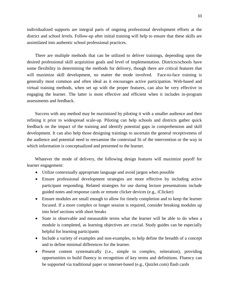individualized supports are integral parts of ongoing professional development efforts at the district and school levels. Follow-up after initial training will help to ensure that these skills are assimilated into authentic school professional practices.

There are multiple methods that can be utilized to deliver trainings, depending upon the desired professional skill acquisition goals and level of implementation. Districts/schools have some flexibility in determining the methods for delivery, though there are critical features that will maximize skill development, no matter the mode involved. Face-to-face training is generally most common and often ideal as it encourages active participation. Web-based and virtual training methods, when set up with the proper features, can also be very effective in engaging the learner. The latter is most effective and efficient when it includes in-program assessments and feedback.

Success with any method may be maximized by piloting it with a smaller audience and then refining it prior to widespread scale-up. Piloting can help schools and districts gather quick feedback on the impact of the training and identify potential gaps in comprehension and skill development. It can also help those designing trainings to ascertain the general receptiveness of the audience and potential need to reexamine the contextual fit of the intervention or the way in which information is conceptualized and presented to the learner.

Whatever the mode of delivery, the following design features will maximize payoff for learner engagement:

- Utilize contextually appropriate language and avoid jargon when possible
- Ensure professional development strategies are more effective by including active participant responding. Related strategies for use during lecture presentations include guided notes and response cards or remote clicker devices (e.g., iClicker)
- Ensure modules are small enough to allow for timely completion and to keep the learner focused. If a more complex or longer session is required, consider breaking modules up into brief sections with short breaks
- State in observable and measurable terms what the learner will be able to do when a module is completed, as learning objectives are crucial. Study guides can be especially helpful for learning participants
- Include a variety of examples and non-examples, to help define the breadth of a concept and to define minimal differences for the learner.
- Present content systematically (i.e., simple to complex, reiteration), providing opportunities to build fluency in recognition of key terms and definitions. Fluency can be supported via traditional paper or internet-based (e.g., Quizlet.com) flash cards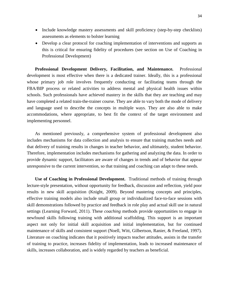- Include knowledge mastery assessments and skill proficiency (step-by-step checklists) assessments as elements to bolster learning
- Develop a clear protocol for coaching implementation of interventions and supports as this is critical for ensuring fidelity of procedures (see section on Use of Coaching in Professional Development)

**Professional Development Delivery, Facilitation, and Maintenance.** Professional development is most effective when there is a dedicated trainer. Ideally, this is a professional whose primary job role involves frequently conducting or facilitating teams through the FBA/BIP process or related activities to address mental and physical health issues within schools. Such professionals have achieved mastery in the skills that they are teaching and may have completed a related train-the-trainer course. They are able to vary both the mode of delivery and language used to describe the concepts in multiple ways. They are also able to make accommodations, where appropriate, to best fit the context of the target environment and implementing personnel.

As mentioned previously, a comprehensive system of professional development also includes mechanisms for data collection and analysis to ensure that training matches needs and that delivery of training results in changes in teacher behavior, and ultimately, student behavior. Therefore, implementation includes mechanisms for gathering and analyzing the data. In order to provide dynamic support, facilitators are aware of changes in trends and of behavior that appear unresponsive to the current intervention, so that training and coaching can adapt to these needs.

**Use of Coaching in Professional Development.** Traditional methods of training through lecture-style presentation, without opportunity for feedback, discussion and reflection, yield poor results in new skill acquisition (Knight, 2009). Beyond mastering concepts and principles, effective training models also include small group or individualized face-to-face sessions with skill demonstrations followed by practice and feedback in role play and actual skill use in natural settings (Learning Forward, 2011). These *coaching* methods provide opportunities to engage in newfound skills following training with additional scaffolding. This support is an important aspect not only for initial skill acquisition and initial implementation, but for continued maintenance of skills and consistent support (Noell, Witt, Gilbertson, Ranier, & Freeland, 1997). Literature on coaching indicates that it positively impacts teacher attitudes, assists in the transfer of training to practice, increases fidelity of implementation, leads to increased maintenance of skills, increases collaboration, and is widely regarded by teachers as beneficial.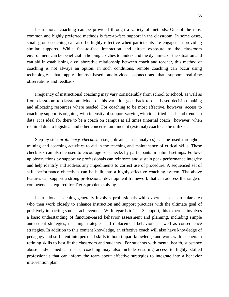Instructional coaching can be provided through a variety of methods. One of the most common and highly preferred methods is face-to-face support in the classroom. In some cases, small group coaching can also be highly effective when participants are engaged in providing similar supports. While face-to-face interaction and direct exposure to the classroom environment can be beneficial in helping coaches to understand the dynamics of the situation and can aid in establishing a collaborative relationship between coach and teacher, this method of coaching is not always an option. In such conditions, remote coaching can occur using technologies that apply internet-based audio-video connections that support real-time observations and feedback.

Frequency of instructional coaching may vary considerably from school to school, as well as from classroom to classroom. Much of this variation goes back to data-based decision-making and allocating resources where needed. For coaching to be most effective, however, access to coaching support is ongoing, with intensity of support varying with identified needs and trends in data. It is ideal for there to be a coach on campus at all times (internal coach), however, when required due to logistical and other concerns, an itinerant (external) coach can be utilized.

Step-by-step *proficiency checklists* (i.e., job aids, task analyses) can be used throughout training and coaching activities to aid in the teaching and maintenance of critical skills. These checklists can also be used to encourage self-checks by participants in natural settings. Followup observations by supportive professionals can reinforce and sustain peak performance integrity and help identify and address any impediments to correct use of procedure. A sequenced set of skill performance objectives can be built into a highly effective coaching system. The above features can support a strong professional development framework that can address the range of competencies required for Tier 3 problem solving.

Instructional coaching generally involves professionals with expertise in a particular area who then work closely to enhance instruction and support practices with the ultimate goal of positively impacting student achievement. With regards to Tier 3 support, this expertise involves a basic understanding of function-based behavior assessment and planning, including simple antecedent strategies, teaching strategies and replacement behaviors, as well as consequence strategies. In addition to this content knowledge, an effective coach will also have knowledge of pedagogy and sufficient interpersonal skills to both impart knowledge and work with teachers in refining skills to best fit the classroom and students. For students with mental health, substance abuse and/or medical needs, coaching may also include ensuring access to highly skilled professionals that can inform the team about effective strategies to integrate into a behavior intervention plan.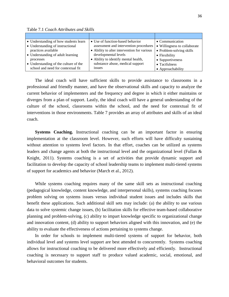Table 7.1 *Coach Attributes and Skills*

| • Understanding of how students learn | • Use of function-based behavior            | • Communication              |
|---------------------------------------|---------------------------------------------|------------------------------|
| • Understanding of instructional      | assessment and intervention procedures      | • Willingness to collaborate |
| practices available                   | • Ability to alter intervention for various | • Problem-solving skills     |
| • Understanding of adult learning     | developmental levels                        | • Flexibility                |
| processes                             | • Ability to identify mental health,        | • Supportiveness             |
| • Understanding of the culture of the | substance abuse, medical support            | $\bullet$ Tactfulness        |
| school and need for contextual fit    | <i>ssues</i>                                | • Approachability            |

The ideal coach will have sufficient skills to provide assistance to classrooms in a professional and friendly manner, and have the observational skills and capacity to analyze the current behavior of implementers and the frequency and degree in which it either maintains or diverges from a plan of support. Lastly, the ideal coach will have a general understanding of the culture of the school, classrooms within the school, and the need for contextual fit of interventions in those environments. Table 7 provides an array of attributes and skills of an ideal coach.

**Systems Coaching.** Instructional coaching can be an important factor in ensuring implementation at the classroom level. However, such efforts will have difficulty sustaining without attention to systems level factors. In that effort, coaches can be utilized as systems leaders and change agents at both the instructional level and the organizational level (Fullan & Knight, 2011). Systems coaching is a set of activities that provide dynamic support and facilitation to develop the capacity of school leadership teams to implement multi-tiered systems of support for academics and behavior (March et al., 2012).

While systems coaching requires many of the same skill sets as instructional coaching (pedagogical knowledge, content knowledge, and interpersonal skills), systems coaching focuses problem solving on systems issues versus individual student issues and includes skills that benefit these applications. Such additional skill sets may include: (a) the ability to use various data to solve systemic change issues, (b) facilitation skills for effective team-based collaborative planning and problem-solving, (c) ability to impart knowledge specific to organizational change and innovation content, (d) ability to support behaviors aligned with this innovation, and (e) the ability to evaluate the effectiveness of actions pertaining to systems change.

In order for schools to implement multi-tiered systems of support for behavior, both individual level and systems level support are best attended to concurrently. Systems coaching allows for instructional coaching to be delivered more effectively and efficiently. Instructional coaching is necessary to support staff to produce valued academic, social, emotional, and behavioral outcomes for students.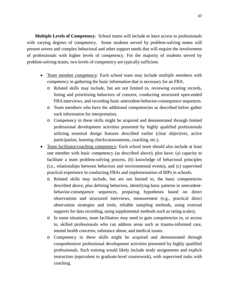**Multiple Levels of Competency.** School teams will include or have access to professionals with varying degrees of competency. Some students served by problem-solving teams will present severe and complex behavioral and other support needs that will require the involvement of professionals with higher levels of competency. For the majority of students served by problem-solving teams, two levels of competency are typically sufficient.

- Team member competency: Each school team may include multiple members with competency in gathering the basic information that is necessary for an FBA.
	- o Related skills may include, but are not limited to, reviewing existing records, listing and prioritizing behaviors of concern, conducting structured open-ended FBA interviews, and recording basic antecedent-behavior-consequence sequences.
	- o Team members who have the additional competencies as described below gather such information for interpretation.
	- o Competency in these skills might be acquired and demonstrated through limited professional development activities presented by highly qualified professionals utilizing essential design features described earlier (clear objectives, active participation, learning checks/assessments, coaching, etc.).
- Team facilitator/coaching competency: Each school team should also include at least one member with basic competency (as described above), plus have: (a) capacity to facilitate a team problem-solving process, (b) knowledge of behavioral principles (i.e., relationships between behaviors and environmental events), and (c) supervised practical experience in conducting FBAs and implementation of BIPs in schools.
	- o Related skills may include, but are not limited to, the basic competencies described above, plus defining behaviors, identifying basic patterns in antecedentbehavior-consequence sequences, preparing hypotheses based on direct observations and structured interviews, measurement (e.g., practical direct observation strategies and tools, reliable sampling methods, using external supports for data recording, using supplemental methods such as rating scales).
	- o In some situations, team facilitators may need to gain competencies in, or access to, skilled professionals who can address areas such as trauma-informed care, mental health concerns, substance abuse, and medical issues.
	- o Competency in these skills might be acquired and demonstrated through comprehensive professional development activities presented by highly qualified professionals. Such training would likely include study assignments and explicit instruction (equivalent to graduate-level coursework), with supervised tasks with coaching.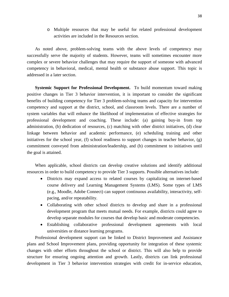o Multiple resources that may be useful for related professional development activities are included in the Resources section.

As noted above, problem-solving teams with the above levels of competency may successfully serve the majority of students. However, teams will sometimes encounter more complex or severe behavior challenges that may require the support of someone with advanced competency in behavioral, medical, mental health or substance abuse support. This topic is addressed in a later section.

**Systemic Support for Professional Development.** To build momentum toward making positive changes in Tier 3 behavior intervention, it is important to consider the significant benefits of building competency for Tier 3 problem-solving teams and capacity for intervention competency and support at the district, school, and classroom levels. There are a number of system variables that will enhance the likelihood of implementation of effective strategies for professional development and coaching. These include: (a) gaining buy-in from top administration, (b) dedication of resources, (c) matching with other district initiatives, (d) clear linkage between behavior and academic performance, (e) scheduling training and other initiatives for the school year, (f) school readiness to support changes in teacher behavior,  $(g)$ commitment conveyed from administration/leadership, and (h) commitment to initiatives until the goal is attained.

When applicable, school districts can develop creative solutions and identify additional resources in order to build competency to provide Tier 3 supports. Possible alternatives include:

- Districts may expand access to related courses by capitalizing on internet-based course delivery and Learning Management Systems (LMS). Some types of LMS (e.g., Moodle, Adobe Connect) can support continuous availability, interactivity, selfpacing, and/or repeatability.
- Collaborating with other school districts to develop and share in a professional development program that meets mutual needs. For example, districts could agree to develop separate modules for courses that develop basic and moderate competencies.
- Establishing collaborative professional development agreements with local universities or distance learning programs.

Professional development support can be linked to District Improvement and Assistance plans and School Improvement plans, providing opportunity for integration of these systemic changes with other efforts throughout the school or district. This will also help to provide structure for ensuring ongoing attention and growth. Lastly, districts can link professional development in Tier 3 behavior intervention strategies with credit for in-service education,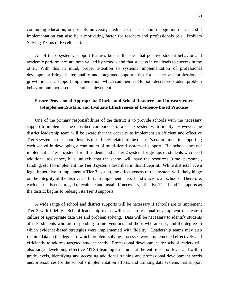continuing education, or possibly university credit. District or school recognition of successful implementation can also be a motivating factor for teachers and professionals (e.g., Problem Solving Teams of Excellence).

All of these systemic support features bolster the idea that positive student behavior and academic performance are both valued by schools and that success in one leads to success in the other. With this in mind, proper attention to systemic implementation of professional development brings better quality and integrated opportunities for teacher and professionals' growth in Tier 3 support implementation, which can then lead to both decreased student problem behavior, and increased academic achievement.

# **Ensure Provision of Appropriate District and School Resources and Infrastructures toImplement,Sustain, and Evaluate Effectiveness of Evidence-Based Practices**

One of the primary responsibilities of the district is to provide schools with the necessary support to implement the described components of a Tier 3 system with fidelity. However, the district leadership team will be aware that the capacity to implement an efficient and effective Tier 3 system at the school level is most likely related to the district's commitment to supporting each school in developing a continuum of multi-tiered system of support. If a school does not implement a Tier 1 system for all students and a Tier 2 system for groups of students who need additional assistance, it is unlikely that the school will have the resources (time, personnel, funding, etc.) to implement the Tier 3 systems described in this Blueprint. While districts have a legal imperative to implement a Tier 3 system, the effectiveness of that system will likely hinge on the integrity of the district's efforts to implement Tiers 1 and 2 across all schools. Therefore, each district is encouraged to evaluate and install, if necessary, effective Tier 1 and 2 supports as the district begins to redesign its Tier 3 supports.

A wide range of school and district supports will be necessary if schools are to implement Tier 3 with fidelity. School leadership teams will need professional development to create a culture of appropriate data use and problem solving. Data will be necessary to identify students at risk, students who are responding to interventions and those who are not, and the degree to which evidence-based strategies were implemented with fidelity. Leadership teams may also require data on the degree to which problem-solving processes were implemented effectively and efficiently to address targeted student needs. Professional development for school leaders will also target developing effective MTSS teaming structures at the entire school level and within grade levels, identifying and accessing additional training and professional development needs and/or resources for the school's implementation efforts, and utilizing data systems that support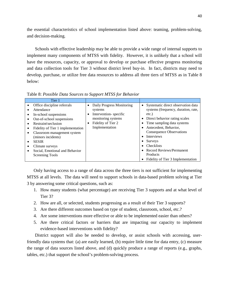the essential characteristics of school implementation listed above: teaming, problem-solving, and decision-making.

Schools with effective leadership may be able to provide a wide range of internal supports to implement many components of MTSS with fidelity. However, it is unlikely that a school will have the resources, capacity, or approval to develop or purchase effective progress monitoring and data collection tools for Tier 3 without district level buy-in. In fact, districts may need to develop, purchase, or utilize free data resources to address all three tiers of MTSS as in Table 8 below:

Table 8: *Possible Data Sources to Support MTSS for Behavior* 

| Tier 1                                   |                                |                                                 |
|------------------------------------------|--------------------------------|-------------------------------------------------|
| Office discipline referrals<br>$\bullet$ | Daily Progress Monitoring<br>٠ | Systematic direct observation data<br>$\bullet$ |
| Attendance                               | systems                        | systems (frequency, duration, rate,             |
| In-school suspensions                    | Intervention-specific          | etc.)                                           |
| Out-of-school suspensions                | monitoring systems             | Direct behavior rating scales                   |
| Restraint\seclusion                      | Fidelity of Tier 2             | Time sampling data systems                      |
| Fidelity of Tier 1 implementation        | Implementation                 | Antecedent, Behavior,                           |
| Classroom management system              |                                | <b>Consequence Observations</b>                 |
| (minors incidents)                       |                                | <b>Interviews</b>                               |
| <b>SESIR</b><br>٠                        |                                | Surveys                                         |
| Climate surveys                          |                                | <b>Checklists</b>                               |
| Social, Emotional and Behavior           |                                | • Record Reviews/Permanent                      |
| Screening Tools                          |                                | Products                                        |
|                                          |                                | Fidelity of Tier 3 Implementation               |

Only having access to a range of data across the three tiers is not sufficient for implementing MTSS at all levels. The data will need to support schools in data-based problem solving at Tier 3 by answering some critical questions, such as:

- 1. How many students (what percentage) are receiving Tier 3 supports and at what level of Tier 3?
- 2. How are all, or selected, students progressing as a result of their Tier 3 supports?
- 3. Are there different outcomes based on type of student, classroom, school, etc.?
- 4. Are some interventions more effective or able to be implemented easier than others?
- 5. Are there critical factors or barriers that are impacting our capacity to implement evidence-based interventions with fidelity?

District support will also be needed to develop, or assist schools with accessing, userfriendly data systems that: (a) are easily learned, (b) require little time for data entry, (c) measure the range of data sources listed above, and (d) quickly produce a range of reports (e.g., graphs, tables, etc.) that support the school's problem-solving process.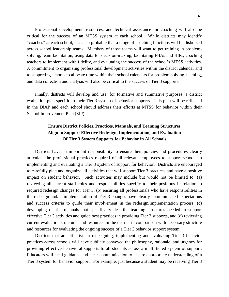Professional development, resources, and technical assistance for coaching will also be critical for the success of an MTSS system at each school. While districts may identify "coaches" at each school, it is also probable that a range of coaching functions will be disbursed across school leadership teams. Members of those teams will want to get training in problemsolving, team facilitation, using data for decision-making, facilitating FBAs and BIPs, coaching teachers to implement with fidelity, and evaluating the success of the school's MTSS activities. A commitment to organizing professional development activities within the district calendar and to supporting schools to allocate time within their school calendars for problem-solving, teaming, and data collection and analysis will also be critical to the success of Tier 3 supports.

Finally, districts will develop and use, for formative and summative purposes, a district evaluation plan specific to their Tier 3 system of behavior supports. This plan will be reflected in the DIAP and each school should address their efforts at MTSS for behavior within their School Improvement Plan (SIP).

# **Ensure District Policies, Practices, Manuals, and Teaming Structures Align to Support Effective Redesign, Implementation, and Evaluation Of Tier 3 System Supports for Behavior in All Schools**

Districts have an important responsibility to ensure their policies and procedures clearly articulate the professional practices required of all relevant employees to support schools in implementing and evaluating a Tier 3 system of support for behavior. Districts are encouraged to carefully plan and organize all activities that will support Tier 3 practices and have a positive impact on student behavior. Such activities may include but would not be limited to: (a) reviewing all current staff roles and responsibilities specific to their positions in relation to required redesign changes for Tier 3, (b) ensuring all professionals who have responsibilities in the redesign and/or implementation of Tier 3 changes have clearly communicated expectations and success criteria to guide their involvement in the redesign/implementation process, (c) developing district manuals that specifically describe teaming structures needed to support effective Tier 3 activities and guide best practices in providing Tier 3 supports, and (d) reviewing current evaluation structures and resources in the district in comparison with necessary structure and resources for evaluating the ongoing success of a Tier 3 behavior support system.

Districts that are effective in redesigning, implementing and evaluating Tier 3 behavior practices across schools will have publicly conveyed the philosophy, rationale, and urgency for providing effective behavioral supports to all students across a multi-tiered system of support. Educators will need guidance and clear communication to ensure appropriate understanding of a Tier 3 system for behavior support. For example, just because a student may be receiving Tier 3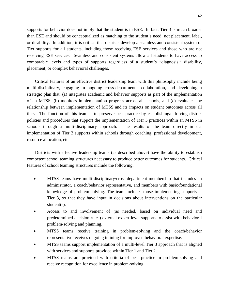supports for behavior does not imply that the student is in ESE. In fact, Tier 3 is much broader than ESE and should be conceptualized as matching to the student's need; not placement, label, or disability. In addition, it is critical that districts develop a seamless and consistent system of Tier supports for all students, including those receiving ESE services and those who are not receiving ESE services. Seamless and consistent systems allow all students to have access to comparable levels and types of supports regardless of a student's "diagnosis," disability, placement, or complex behavioral challenges.

Critical features of an effective district leadership team with this philosophy include being multi-disciplinary, engaging in ongoing cross-departmental collaboration, and developing a strategic plan that: (a) integrates academic and behavior supports as part of the implementation of an MTSS, (b) monitors implementation progress across all schools, and (c) evaluates the relationship between implementation of MTSS and its impacts on student outcomes across all tiers. The function of this team is to preserve best practice by establishing/enforcing district policies and procedures that support the implementation of Tier 3 practices within an MTSS in schools through a multi-disciplinary approach. The results of the team directly impact implementation of Tier 3 supports within schools through coaching, professional development, resource allocation, etc.

Districts with effective leadership teams (as described above) have the ability to establish competent school teaming structures necessary to produce better outcomes for students. Critical features of school teaming structures include the following:

- MTSS teams have multi-disciplinary/cross-department membership that includes an administrator, a coach/behavior representative, and members with basic/foundational knowledge of problem-solving. The team includes those implementing supports at Tier 3, so that they have input in decisions about interventions on the particular student(s).
- Access to and involvement of (as needed, based on individual need and predetermined decision rules) external expert-level supports to assist with behavioral problem-solving and planning.
- MTSS teams receive training in problem-solving and the coach/behavior representative receives ongoing training for improved behavioral expertise.
- MTSS teams support implementation of a multi-level Tier 3 approach that is aligned with services and supports provided within Tier 1 and Tier 2.
- MTSS teams are provided with criteria of best practice in problem-solving and receive recognition for excellence in problem-solving.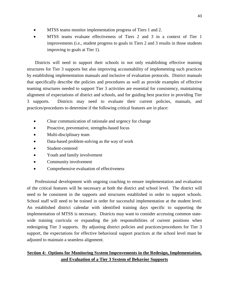- MTSS teams monitor implementation progress of Tiers 1 and 2.
- MTSS teams evaluate effectiveness of Tiers 2 and 3 in a context of Tier 1 improvements (i.e., student progress to goals in Tiers 2 and 3 results in those students improving to goals at Tier 1).

Districts will need to support their schools in not only establishing effective teaming structures for Tier 3 supports but also improving accountability of implementing such practices by establishing implementation manuals and inclusive of evaluation protocols. District manuals that specifically describe the policies and procedures as well as provide examples of effective teaming structures needed to support Tier 3 activities are essential for consistency, maintaining alignment of expectations of district and schools, and for guiding best practice in providing Tier 3 supports. Districts may need to evaluate their current policies, manuals, and practices/procedures to determine if the following critical features are in place:

- Clear communication of rationale and urgency for change
- Proactive, preventative, strengths-based focus
- Multi-disciplinary team
- Data-based problem-solving as the way of work
- Student-centered
- Youth and family involvement
- Community involvement
- Comprehensive evaluation of effectiveness

Professional development with ongoing coaching to ensure implementation and evaluation of the critical features will be necessary at both the district and school level. The district will need to be consistent in the supports and structures established in order to support schools. School staff will need to be trained in order for successful implementation at the student level. An established district calendar with identified training days specific to supporting the implementation of MTSS is necessary. Districts may want to consider accessing common statewide training curricula or expanding the job responsibilities of current positions when redesigning Tier 3 supports. By adjusting district policies and practices/procedures for Tier 3 support, the expectations for effective behavioral support practices at the school level must be adjusted to maintain a seamless alignment.

# **Section 4: Options for Monitoring System Improvements in the Redesign, Implementation, and Evaluation of a Tier 3 System of Behavior Supports**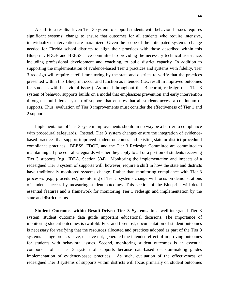A shift to a results-driven Tier 3 system to support students with behavioral issues requires significant systems' change to ensure that outcomes for all students who require intensive, individualized intervention are maximized. Given the scope of the anticipated systems' change needed for Florida school districts to align their practices with those described within this Blueprint, FDOE and BEESS have committed to providing the necessary technical assistance, including professional development and coaching, to build district capacity. In addition to supporting the implementation of evidence-based Tier 3 practices and systems with fidelity, Tier 3 redesign will require careful monitoring by the state and districts to verify that the practices presented within this Blueprint occur and function as intended (i.e., result in improved outcomes for students with behavioral issues). As noted throughout this Blueprint, redesign of a Tier 3 system of behavior supports builds on a model that emphasizes prevention and early intervention through a multi-tiered system of support that ensures that all students access a continuum of supports. Thus, evaluation of Tier 3 improvements must consider the effectiveness of Tier 1 and 2 supports.

Implementation of Tier 3 system improvements should in no way be a barrier to compliance with procedural safeguards. Instead, Tier 3 system changes ensure the integration of evidencebased practices that support improved student outcomes and existing state or district procedural compliance practices. BEESS, FDOE, and the Tier 3 Redesign Committee are committed to maintaining all procedural safeguards whether they apply to all or a portion of students receiving Tier 3 supports (e.g., IDEA*,* Section 504).Monitoring the implementation and impacts of a redesigned Tier 3 system of supports will, however, require a shift in how the state and districts have traditionally monitored systems change. Rather than monitoring compliance with Tier 3 processes (e.g., procedures), monitoring of Tier 3 systems change will focus on demonstrations of student success by measuring student outcomes. This section of the Blueprint will detail essential features and a framework for monitoring Tier 3 redesign and implementation by the state and district teams.

**Student Outcomes within Result-Driven Tier 3 Systems.** In a well-integrated Tier 3 system, student outcome data guide important educational decisions. The importance of monitoring student outcomes is twofold. First and foremost, documentation of student outcomes is necessary for verifying that the resources allocated and practices adopted as part of the Tier 3 systems change process have, or have not, generated the intended effect of improving outcomes for students with behavioral issues. Second, monitoring student outcomes is an essential component of a Tier 3 system of supports because data-based decision-making guides implementation of evidence-based practices. As such, evaluation of the effectiveness of redesigned Tier 3 systems of supports within districts will focus primarily on student outcomes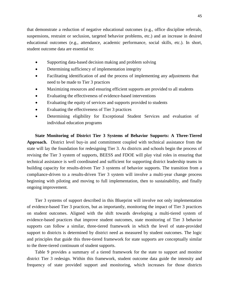that demonstrate a reduction of negative educational outcomes (e.g., office discipline referrals, suspensions, restraint or seclusion, targeted behavior problems, etc.) and an increase in desired educational outcomes (e.g., attendance, academic performance, social skills, etc.). In short, student outcome data are essential to:

- Supporting data-based decision making and problem solving
- Determining sufficiency of implementation integrity
- Facilitating identification of and the process of implementing any adjustments that need to be made to Tier 3 practices
- Maximizing resources and ensuring efficient supports are provided to all students
- Evaluating the effectiveness of evidence-based interventions
- Evaluating the equity of services and supports provided to students
- Evaluating the effectiveness of Tier 3 practices
- Determining eligibility for Exceptional Student Services and evaluation of individual education programs

**State Monitoring of District Tier 3 Systems of Behavior Supports: A Three-Tiered Approach.** District level buy-in and commitment coupled with technical assistance from the state will lay the foundation for redesigning Tier 3. As districts and schools begin the process of revising the Tier 3 system of supports, BEESS and FDOE will play vital roles in ensuring that technical assistance is well coordinated and sufficient for supporting district leadership teams in building capacity for results-driven Tier 3 systems of behavior supports. The transition from a compliance-driven to a results-driven Tier 3 system will involve a multi-year change process beginning with piloting and moving to full implementation, then to sustainability, and finally ongoing improvement.

Tier 3 systems of support described in this Blueprint will involve not only implementation of evidence-based Tier 3 practices, but as importantly, monitoring the impact of Tier 3 practices on student outcomes. Aligned with the shift towards developing a multi-tiered system of evidence-based practices that improve student outcomes, state monitoring of Tier 3 behavior supports can follow a similar, three-tiered framework in which the level of state-provided support to districts is determined by district need as measured by student outcomes. The logic and principles that guide this three-tiered framework for state supports are conceptually similar to the three-tiered continuum of student supports.

Table 9 provides a summary of a tiered framework for the state to support and monitor district Tier 3 redesign. Within this framework, student outcome data guide the intensity and frequency of state provided support and monitoring, which increases for those districts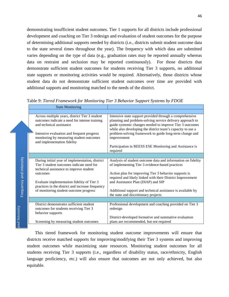demonstrating insufficient student outcomes. Tier 1 supports for all districts include professional development and coaching on Tier 3 redesign and evaluation of student outcomes for the purpose of determining additional supports needed by districts (i.e., districts submit student outcome data to the state several times throughout the year). The frequency with which data are submitted varies depending on the type of data (e.g., graduation rates may be reported annually whereas data on restraint and seclusion may be reported continuously). For those districts that demonstrate sufficient student outcomes for students receiving Tier 3 supports, no additional state supports or monitoring activities would be required. Alternatively, those districts whose student data do not demonstrate sufficient student outcomes over time are provided with additional supports and monitoring matched to the needs of the district.

Table 9: *Tiered Framework for Monitoring Tier 3 Behavior Support Systems by FDOE* 

|                                        | <b>State Monitoring</b>                                                                                                                 |                                                                                                                                                                                                                                                  |
|----------------------------------------|-----------------------------------------------------------------------------------------------------------------------------------------|--------------------------------------------------------------------------------------------------------------------------------------------------------------------------------------------------------------------------------------------------|
|                                        |                                                                                                                                         |                                                                                                                                                                                                                                                  |
|                                        | Across multiple years, district Tier 3 student<br>outcomes indicate a need for intense training<br>and technical assistance             | Intensive state support provided through a comprehensive<br>planning and problem-solving service delivery approach to<br>guide systemic changes needed to improve Tier 3 outcomes<br>while also developing the district team's capacity to use a |
|                                        | Intensive evaluation and frequent progress<br>monitoring by measuring student outcomes<br>and implementation fidelity                   | problem-solving framework to guide long-term change and<br>improvement                                                                                                                                                                           |
|                                        |                                                                                                                                         | Participation in BEESS ESE Monitoring and Assistance is<br>required                                                                                                                                                                              |
|                                        |                                                                                                                                         |                                                                                                                                                                                                                                                  |
| Frequency and intensity                | During initial year of implementation, district<br>Tier 3 student outcomes indicate need for<br>technical assistance to improve student | Analysis of student outcome data and information on fidelity<br>of implementing Tier 3 evidence-based practices                                                                                                                                  |
|                                        | outcomes                                                                                                                                | Action plan for improving Tier 3 behavior supports is<br>required and likely linked with their District Improvement                                                                                                                              |
|                                        | Evaluate implementation fidelity of Tier 3<br>practices in the district and increase frequency                                          | and Assistance Plan (DIAP) and SIP                                                                                                                                                                                                               |
| of monitoring student outcome progress |                                                                                                                                         | Additional support and technical assistance is available by<br>the state and discretionary projects                                                                                                                                              |
|                                        |                                                                                                                                         |                                                                                                                                                                                                                                                  |
|                                        | District demonstrates sufficient student<br>outcomes for students receiving Tier 3<br>behavior supports                                 | Professional development and coaching provided on Tier 3<br>redesign                                                                                                                                                                             |
|                                        | Screening by measuring student outcomes                                                                                                 | District-developed formative and summative evaluation<br>plans are recommended, but not required                                                                                                                                                 |

and Intensity nd Intensity

This tiered framework for monitoring student outcome improvements will ensure that districts receive matched supports for improving/modifying their Tier 3 systems and improving student outcomes while maximizing state resources. Monitoring student outcomes for all students receiving Tier 3 supports (i.e., regardless of disability status, race/ethnicity, English language proficiency, etc.) will also ensure that outcomes are not only achieved, but also equitable.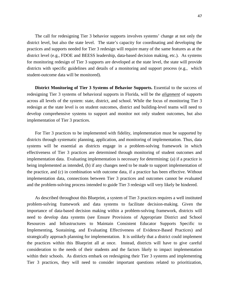The call for redesigning Tier 3 behavior supports involves systems' change at not only the district level, but also the state level. The state's capacity for coordinating and developing the practices and supports needed for Tier 3 redesign will require many of the same features as at the district level (e.g., FDOE and BEESS leadership, data-based decision making, etc.). As systems for monitoring redesign of Tier 3 supports are developed at the state level, the state will provide districts with specific guidelines and details of a monitoring and support process (e.g., which student-outcome data will be monitored).

**District Monitoring of Tier 3 Systems of Behavior Supports.** Essential to the success of redesigning Tier 3 systems of behavioral supports in Florida, will be the *alignment* of supports across all levels of the system: state, district, and school. While the focus of monitoring Tier 3 redesign at the state level is on student outcomes, district and building-level teams will need to develop comprehensive systems to support and monitor not only student outcomes, but also implementation of Tier 3 practices.

For Tier 3 practices to be implemented with fidelity, implementation must be supported by districts through systematic planning, application, and monitoring of implementation. Thus, data systems will be essential as districts engage in a problem-solving framework in which effectiveness of Tier 3 practices are determined through monitoring of student outcomes and implementation data. Evaluating implementation is necessary for determining: (a) if a practice is being implemented as intended, (b) if any changes need to be made to support implementation of the practice, and (c) in combination with outcome data, if a practice has been effective. Without implementation data, connections between Tier 3 practices and outcomes cannot be evaluated and the problem-solving process intended to guide Tier 3 redesign will very likely be hindered.

As described throughout this Blueprint, a system of Tier 3 practices requires a well instituted problem-solving framework and data systems to facilitate decision-making. Given the importance of data-based decision making within a problem-solving framework, districts will need to develop data systems (see Ensure Provisions of Appropriate District and School Resources and Infrastructures to Maintain Consistent Educator Supports Specific to Implementing, Sustaining, and Evaluating Effectiveness of Evidence-Based Practices) and strategically approach planning for implementation. It is unlikely that a district could implement the practices within this Blueprint all at once. Instead, districts will have to give careful consideration to the needs of their students and the factors likely to impact implementation within their schools. As districts embark on redesigning their Tier 3 systems and implementing Tier 3 practices, they will need to consider important questions related to prioritization,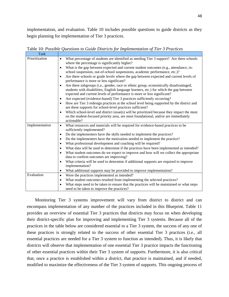implementation, and evaluation. Table 10 includes possible questions to guide districts as they begin planning for implementation of Tier 3 practices.

| Task           |                                                                                                                                    |
|----------------|------------------------------------------------------------------------------------------------------------------------------------|
| Prioritization | What percentage of students are identified as needing Tier 3 support? Are there schools<br>$\bullet$                               |
|                | where the percentage is significantly higher?                                                                                      |
|                | What is the gap between expected and current student outcomes (e.g., attendance, in-                                               |
|                | school suspension, out-of-school suspensions, academic performance, etc.)?                                                         |
|                | Are there schools or grade levels where the gap between expected and current levels of<br>performance is more or less significant? |
|                | Are there subgroups (i.e., gender, race or ethnic group, economically disadvantaged,                                               |
|                | students with disabilities, English language learners, etc.) for which the gap between                                             |
|                | expected and current levels of performance is more or less significant?                                                            |
|                | Are expected (evidence-based) Tier 3 practices sufficiently occurring?                                                             |
|                | How are Tier 3 redesign practices at the school level being supported by the district and                                          |
|                | are these supports for school-level practices sufficient?                                                                          |
|                | Which school-level and district issue(s) will be prioritized because they impact the most                                          |
|                | on the student-focused priority area, are most foundational, and/or are immediately                                                |
|                | actionable?                                                                                                                        |
| Implementation | What resources and materials will be required for evidence-based practices to be<br>$\bullet$                                      |
|                | sufficiently implemented?                                                                                                          |
|                | Do the implementers have the skills needed to implement the practices?                                                             |
|                | Do the implementers have the motivation needed to implement the practice?                                                          |
|                | What professional development and coaching will be required?                                                                       |
|                | What data will be used to determine if the practices have been implemented as intended?                                            |
|                | What student outcomes do we expect to improve and how will we collect the appropriate                                              |
|                | data to confirm outcomes are improving?                                                                                            |
|                | What criteria will be used to determine if additional supports are required to improve                                             |
|                | implementation?                                                                                                                    |
|                | What additional supports may be provided to improve implementation?<br>$\bullet$                                                   |
| Evaluation     | Were the practices implemented as intended?<br>$\bullet$                                                                           |
|                | What student outcomes resulted from implementing the selected practices?<br>٠                                                      |
|                | What steps need to be taken to ensure that the practices will be maintained or what steps<br>$\bullet$                             |
|                | need to be taken to improve the practices?                                                                                         |

Table 10: *Possible Questions to Guide Districts for Implementation of Tier 3 Practices*

Monitoring Tier 3 systems improvement will vary from district to district and can encompass implementation of any number of the practices included in this Blueprint. Table 11 provides an overview of essential Tier 3 practices that districts may focus on when developing their district-specific plan for improving and implementing Tier 3 systems. Because all of the practices in the table below are considered essential to a Tier 3 system, the success of any one of these practices is strongly related to the success of other essential Tier 3 practices (i.e., all essential practices are needed for a Tier 3 system to function as intended). Thus, it is likely that districts will observe that implementation of one essential Tier 3 practice impacts the functioning of other essential practices within their Tier 3 system of supports. Furthermore, it is also critical that, once a practice is established within a district, that practice is maintained, and if needed, modified to maximize the effectiveness of the Tier 3 system of supports. This ongoing process of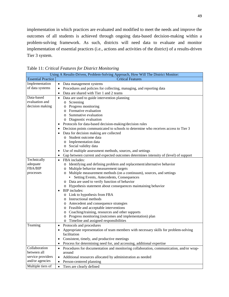implementation in which practices are evaluated and modified to meet the needs and improve the outcomes of all students is achieved through ongoing data-based decision-making within a problem-solving framework. As such, districts will need data to evaluate and monitor implementation of essential practices (i.e., actions and activities of the district) of a results-driven Tier 3 system.

| Using A Results-Driven, Problem-Solving Approach, How Will The District Monitor: |                                                                                                      |  |  |  |
|----------------------------------------------------------------------------------|------------------------------------------------------------------------------------------------------|--|--|--|
| <b>Essential Practice</b>                                                        | <b>Critical Features</b>                                                                             |  |  |  |
| Implementation                                                                   | • Data management systems                                                                            |  |  |  |
| of data systems                                                                  | Procedures and policies for collecting, managing, and reporting data                                 |  |  |  |
|                                                                                  | Data are shared with Tier 1 and 2 teams<br>$\bullet$                                                 |  |  |  |
| Data-based                                                                       | Data are used to guide intervention planning<br>$\bullet$                                            |  |  |  |
| evaluation and                                                                   | o Screening                                                                                          |  |  |  |
| decision making                                                                  | o Progress monitoring                                                                                |  |  |  |
|                                                                                  | o Formative evaluation                                                                               |  |  |  |
|                                                                                  | o Summative evaluation                                                                               |  |  |  |
|                                                                                  | o Diagnostic evaluation                                                                              |  |  |  |
|                                                                                  | Protocols for data-based decision-making/decision rules                                              |  |  |  |
|                                                                                  | Decision points communicated to schools to determine who receives access to Tier 3                   |  |  |  |
|                                                                                  | Data for decision making are collected                                                               |  |  |  |
|                                                                                  | o Student outcome data                                                                               |  |  |  |
|                                                                                  | o Implementation data                                                                                |  |  |  |
|                                                                                  | o Social validity data                                                                               |  |  |  |
|                                                                                  | Use of multiple assessment methods, sources, and settings                                            |  |  |  |
|                                                                                  | Gap between current and expected outcomes determines intensity of (level) of support<br>$\bullet$    |  |  |  |
| Technically                                                                      | FBA includes:<br>$\bullet$                                                                           |  |  |  |
| adequate                                                                         | o Identifying and defining problem and replacement/alternative behavior                              |  |  |  |
| FBA/BIP                                                                          | Multiple behavior measurement targets<br>O                                                           |  |  |  |
| processes                                                                        | o Multiple measurement methods (on a continuum), sources, and settings                               |  |  |  |
|                                                                                  | • Setting Events, Antecedents, Consequences                                                          |  |  |  |
|                                                                                  | o Data are used to verify function of behavior                                                       |  |  |  |
| o Hypothesis statement about consequences maintaining behavior                   |                                                                                                      |  |  |  |
| <b>BIP</b> includes:                                                             |                                                                                                      |  |  |  |
|                                                                                  | o Link to hypothesis from FBA                                                                        |  |  |  |
|                                                                                  | o Instructional methods                                                                              |  |  |  |
|                                                                                  | o Antecedent and consequence strategies                                                              |  |  |  |
|                                                                                  | o Feasible and acceptable interventions                                                              |  |  |  |
|                                                                                  | o Coaching/training, resources and other supports                                                    |  |  |  |
|                                                                                  | o Progress monitoring (outcomes and implementation) plan                                             |  |  |  |
| Teaming                                                                          | o Timeline and assigned responsibilities                                                             |  |  |  |
|                                                                                  | Protocols and procedures<br>$\bullet$                                                                |  |  |  |
|                                                                                  | Appropriate representation of team members with necessary skills for problem-solving<br>facilitation |  |  |  |
|                                                                                  |                                                                                                      |  |  |  |
|                                                                                  | Consistent, timely, and productive meetings                                                          |  |  |  |
|                                                                                  | Process for determining need for, and accessing, additional expertise<br>٠                           |  |  |  |
| Collaboration<br>between all                                                     | Procedures for documentation and monitoring collaboration, communication, and/or wrap-               |  |  |  |
| service providers                                                                | around                                                                                               |  |  |  |
| and/or agencies                                                                  | Additional resources allocated by administration as needed<br>$\bullet$                              |  |  |  |
|                                                                                  | Person-centered planning<br>$\bullet$                                                                |  |  |  |
| Multiple tiers of                                                                | Tiers are clearly defined<br>$\bullet$                                                               |  |  |  |

Table 11: *Critical Features for District Monitoring*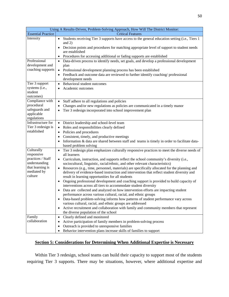|  |  | 50 |
|--|--|----|
|  |  |    |
|  |  |    |

| Using A Results-Driven, Problem-Solving Approach, How Will The District Monitor:                             |                                                                                                                                                                                                                                                                                                                                                                                                                                                                                                                                                                                                                                                                                                                                                                                                                                                                                                                                                                                                                                                                                                                                                                |  |  |  |
|--------------------------------------------------------------------------------------------------------------|----------------------------------------------------------------------------------------------------------------------------------------------------------------------------------------------------------------------------------------------------------------------------------------------------------------------------------------------------------------------------------------------------------------------------------------------------------------------------------------------------------------------------------------------------------------------------------------------------------------------------------------------------------------------------------------------------------------------------------------------------------------------------------------------------------------------------------------------------------------------------------------------------------------------------------------------------------------------------------------------------------------------------------------------------------------------------------------------------------------------------------------------------------------|--|--|--|
| <b>Essential Practice</b><br><b>Critical Features</b>                                                        |                                                                                                                                                                                                                                                                                                                                                                                                                                                                                                                                                                                                                                                                                                                                                                                                                                                                                                                                                                                                                                                                                                                                                                |  |  |  |
| Intensity                                                                                                    | Students receiving Tier 3 supports have access to the general education setting (i.e., Tiers 1<br>$\bullet$<br>and $2)$<br>Decision points and procedures for matching appropriate level of support to student needs<br>are established                                                                                                                                                                                                                                                                                                                                                                                                                                                                                                                                                                                                                                                                                                                                                                                                                                                                                                                        |  |  |  |
|                                                                                                              | Procedures for accessing additional or fading supports are established                                                                                                                                                                                                                                                                                                                                                                                                                                                                                                                                                                                                                                                                                                                                                                                                                                                                                                                                                                                                                                                                                         |  |  |  |
| Professional<br>development and<br>coaching supports                                                         | Data-driven process to identify needs, set goals, and develop a professional development<br>$\bullet$<br>plan<br>Professional development planning process has been established<br>$\bullet$<br>Feedback and outcome data are reviewed to further identify coaching/professional<br>$\bullet$<br>development needs                                                                                                                                                                                                                                                                                                                                                                                                                                                                                                                                                                                                                                                                                                                                                                                                                                             |  |  |  |
| Tier 3 support<br>systems (i.e.,<br>student<br>outcomes)                                                     | Behavioral student outcomes<br>$\bullet$<br>Academic outcomes<br>$\bullet$                                                                                                                                                                                                                                                                                                                                                                                                                                                                                                                                                                                                                                                                                                                                                                                                                                                                                                                                                                                                                                                                                     |  |  |  |
| Compliance with<br>procedural<br>safeguards and<br>applicable<br>regulations                                 | Staff adhere to all regulations and policies<br>Changes and/or new regulations as policies are communicated in a timely manor<br>Tier 3 redesign incorporated into school improvement plan                                                                                                                                                                                                                                                                                                                                                                                                                                                                                                                                                                                                                                                                                                                                                                                                                                                                                                                                                                     |  |  |  |
| Infrastructure for<br>Tier 3 redesign is<br>established                                                      | District leadership and school-level team<br>Roles and responsibilities clearly defined<br>Policies and procedures<br>Consistent, timely, and productive meetings<br>Information & data are shared between staff and teams is timely in order to facilitate data-<br>based problem solving                                                                                                                                                                                                                                                                                                                                                                                                                                                                                                                                                                                                                                                                                                                                                                                                                                                                     |  |  |  |
| Culturally<br>responsive<br>practices / Staff<br>understanding<br>that learning is<br>mediated by<br>culture | Tier 3 redesign plan emphasizes culturally responsive practices to meet the diverse needs of<br>all learners<br>Curriculum, instruction, and supports reflect the school community's diversity (i.e.,<br>sociocultural, linguistic, racial/ethnic, and other relevant characteristics)<br>Resources (e.g., time, personnel, materials) are specifically allocated for the planning and<br>delivery of evidence-based instruction and intervention that reflect student diversity and<br>result in learning opportunities for all students<br>Ongoing professional development and coaching support is provided to build capacity of<br>interventions across all tiers to accommodate student diversity<br>Data are collected and analyzed on how intervention efforts are impacting student<br>performance across various cultural, racial, and ethnic groups<br>Data-based problem-solving informs how patterns of student performance vary across<br>various cultural, racial, and ethnic groups are addressed<br>Active recruitment and collaboration with family and community members that represent<br>$\bullet$<br>the diverse population of the school |  |  |  |
| Family<br>collaboration                                                                                      | Clearly defined and monitored<br>$\bullet$<br>Active participation of family members in problem-solving process<br>Outreach is provided to unresponsive families<br>٠<br>Behavior intervention plans increase skills of families to support                                                                                                                                                                                                                                                                                                                                                                                                                                                                                                                                                                                                                                                                                                                                                                                                                                                                                                                    |  |  |  |

# **Section 5: Considerations for Determining When Additional Expertise is Necessary**

Within Tier 3 redesign, school teams can build their capacity to support most of the students requiring Tier 3 supports. There may be situations, however, where additional expertise and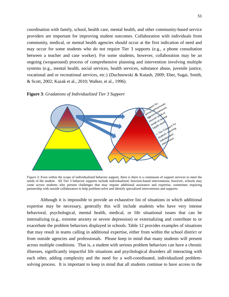coordination with family, school, health care, mental health, and other community-based service providers are important for improving student outcomes. Collaboration with individuals from community, medical, or mental health agencies should occur at the first indication of need and may occur for some students who do not require Tier 3 supports (e.g., a phone consultation between a teacher and case worker). For some students, however, collaboration may be an ongoing (wraparound) process of comprehensive planning and intervention involving multiple systems (e.g., mental health, social services, health services, substance abuse, juvenile justice, vocational and or recreational services, etc.) (Duchnowski & Kutash, 2009; Eber, Sugai, Smith, & Scott, 2002; Kazak et al., 2010; Walker, et al., 1996).

#### **Figure 3**: *Gradations of Individualized Tier 3 Support*



*Figure 3*: Even within the scope of individualized behavior support, there is there is a continuum of support services to meet the needs of the student. All Tier 3 behavior supports include individualized, function-based interventions; however, schools may come across students who present challenges that may require additional assistance and expertise, sometimes requiring partnership with outside collaborators to help problem-solve and identify specialized interventions and supports.

Although it is impossible to provide an exhaustive list of situations in which additional expertise may be necessary, generally this will include students who have very intense behavioral, psychological, mental health, medical, or life situational issues that can be internalizing (e.g., extreme anxiety or severe depression) or externalizing and contribute to or exacerbate the problem behaviors displayed in schools. Table 12 provides examples of situations that may result in teams calling in additional expertise, either from within the school district or from outside agencies and professionals. Please keep in mind that many students will present across multiple conditions. That is, a student with serious problem behaviors can have a chronic illnesses, significantly impactful life situations and psychological disorders all interacting with each other, adding complexity and the need for a well-coordinated, individualized problemsolving process. It is important to keep in mind that all students continue to have access to the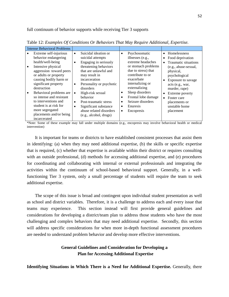full continuum of behavior supports while receiving Tier 3 supports

| <b>Intense Behavioral Problems</b>                                                                                                                                                                                                        |                                                                                                                                                                                                                                                                         |                                                                                                                                                                                                             |                        |                                                                                                                                                                                              |
|-------------------------------------------------------------------------------------------------------------------------------------------------------------------------------------------------------------------------------------------|-------------------------------------------------------------------------------------------------------------------------------------------------------------------------------------------------------------------------------------------------------------------------|-------------------------------------------------------------------------------------------------------------------------------------------------------------------------------------------------------------|------------------------|----------------------------------------------------------------------------------------------------------------------------------------------------------------------------------------------|
| Extreme self-injurious<br>behavior endangering<br>health/well-being<br>Intensive physical<br>aggression toward peers<br>or adults or property<br>causing bodily harm or<br>significant property<br>destruction<br>Behavioral problems are | Suicidal ideation or<br>$\bullet$<br>suicidal attempts<br>Engaging in seriously<br>$\bullet$<br>threatening behaviors<br>that are unlawful and<br>may result in<br>incarceration<br>Personality or psychotic<br>$\bullet$<br>disorders<br>High-risk sexual<br>$\bullet$ | Psychosomatic<br>$\bullet$<br>illnesses (e.g.,<br>extreme headaches<br>or stomach problems<br>due to stress) that<br>contribute to or<br>exacerbate<br>internalizing or<br>externalizing<br>Sleep disorders | $\bullet$<br>$\bullet$ | Homelessness<br>Food deprivation<br>Traumatic situations<br>(e.g., abuse-sexual,<br>physical,<br>psychological<br>Exposure to savage<br>acts (e.g., war,<br>murder, rape)<br>Extreme poverty |
| so intense and resistant<br>to interventions and<br>student is at risk for<br>more segregated<br>placements and/or being<br>incarcerated                                                                                                  | behavior<br>Post-traumatic stress<br>$\bullet$<br>Significant substance<br>abuse related disorders<br>(e.g., alcohol, drugs)                                                                                                                                            | Frontal lobe damage<br>Seizure disorders<br>٠<br>Enuresis<br>$\bullet$<br>Encopresis<br>٠                                                                                                                   | $\bullet$              | Foster care<br>placements or<br>unstable home<br>placement                                                                                                                                   |

Table 12: *Examples Of Conditions Or Behaviors That May Require Additional, Expertise.*

\*Note: Some of these example may fall under multiple domains (e.g., encopresis may involve behavioral health or medical intervention)

It is important for teams or districts to have established consistent processes that assist them in identifying: (a) when they may need additional expertise, (b) the skills or specific expertise that is required, (c) whether that expertise is available within their district or requires consulting with an outside professional, (d) methods for accessing additional expertise, and (e) procedures for coordinating and collaborating with internal or external professionals and integrating the activities within the continuum of school-based behavioral support. Generally, in a wellfunctioning Tier 3 system, only a small percentage of students will require the team to seek additional expertise.

The scope of this issue is broad and contingent upon individual student presentation as well as school and district variables. Therefore, it is a challenge to address each and every issue that teams may experience. This section instead will first provide general guidelines and considerations for developing a district/team plan to address those students who have the most challenging and complex behaviors that may need additional expertise. Secondly, this section will address specific considerations for when more in-depth functional assessment procedures are needed to understand problem behavior and develop more effective interventions.

# **General Guidelines and Consideration for Developing a Plan for Accessing Additional Expertise**

**Identifying Situations in Which There is a Need for Additional Expertise.** Generally, there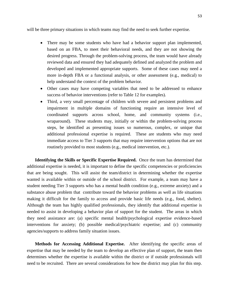will be three primary situations in which teams may find the need to seek further expertise.

- There may be some students who have had a behavior support plan implemented, based on an FBA, to meet their behavioral needs, and they are not showing the desired progress. Through the problem-solving process, the team would have already reviewed data and ensured they had adequately defined and analyzed the problem and developed and implemented appropriate supports. Some of these cases may need a more in-depth FBA or a functional analysis, or other assessment (e.g., medical) to help understand the context of the problem behavior.
- Other cases may have competing variables that need to be addressed to enhance success of behavior interventions (refer to Table 12 for examples).
- Third, a very small percentage of children with severe and persistent problems and impairment in multiple domains of functioning require an intensive level of coordinated supports across school, home, and community systems (i.e., wraparound). These students may, initially or within the problem-solving process steps, be identified as presenting issues so numerous, complex, or unique that additional professional expertise is required. These are students who may need immediate access to Tier 3 supports that may require intervention options that are not routinely provided to most students (e.g., medical intervention, etc.).

**Identifying the Skills or Specific Expertise Required.** Once the team has determined that additional expertise is needed, it is important to define the specific competencies or proficiencies that are being sought. This will assist the team/district in determining whether the expertise wanted is available within or outside of the school district. For example, a team may have a student needing Tier 3 supports who has a mental health condition (e.g., extreme anxiety) and a substance abuse problem that contribute toward the behavior problems as well as life situations making it difficult for the family to access and provide basic life needs (e.g., food, shelter). Although the team has highly qualified professionals, they identify that additional expertise is needed to assist in developing a behavior plan of support for the student. The areas in which they need assistance are: (a) specific mental health/psychological expertise evidence-based interventions for anxiety; (b) possible medical/psychiatric expertise; and (c) community agencies/supports to address family situation issues.

**Methods for Accessing Additional Expertise.** After identifying the specific areas of expertise that may be needed by the team to develop an effective plan of support, the team then determines whether the expertise is available within the district or if outside professionals will need to be recruited. There are several considerations for how the district may plan for this step.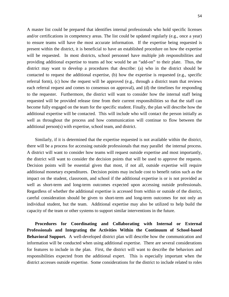A master list could be prepared that identifies internal professionals who hold specific licenses and/or certifications in competency areas. The list could be updated regularly (e.g., once a year) to ensure teams will have the most accurate information. If the expertise being requested is present within the district, it is beneficial to have an established procedure on how the expertise will be requested. In most districts, school personnel have multiple job responsibilities and providing additional expertise to teams ad hoc would be an "add-on" to their plate. Thus, the district may want to develop a procedures that describe: (a) who in the district should be contacted to request the additional expertise, (b) how the expertise is requested (e.g., specific referral form), (c) how the request will be approved (e.g., through a district team that reviews each referral request and comes to consensus on approval), and (d) the timelines for responding to the requester. Furthermore, the district will want to consider how the internal staff being requested will be provided release time from their current responsibilities so that the staff can become fully engaged on the team for the specific student. Finally, the plan will describe how the additional expertise will be contacted. This will include who will contact the person initially as well as throughout the process and how communication will continue to flow between the additional person(s) with expertise, school team, and district.

Similarly, if it is determined that the expertise requested is not available within the district, there will be a process for accessing outside professionals that may parallel the internal process. A district will want to consider how teams will request outside expertise and most importantly, the district will want to consider the decision points that will be used to approve the requests. Decision points will be essential given that most, if not all, outside expertise will require additional monetary expenditures. Decision points may include cost to benefit ratios such as the impact on the student, classroom, and school if the additional expertise is or is not provided as well as short-term and long-term outcomes expected upon accessing outside professionals. Regardless of whether the additional expertise is accessed from within or outside of the district, careful consideration should be given to short-term and long-term outcomes for not only an individual student, but the team. Additional expertise may also be utilized to help build the capacity of the team or other systems to support similar interventions in the future.

**Procedures for Coordinating and Collaborating with Internal or External Professionals and Integrating the Activities Within the Continuum of School-based Behavioral Support.** A well-developed district plan will describe how the communication and information will be conducted when using additional expertise. There are several considerations for features to include in the plan. First, the district will want to describe the behaviors and responsibilities expected from the additional expert. This is especially important when the district accesses outside expertise. Some considerations for the district to include related to roles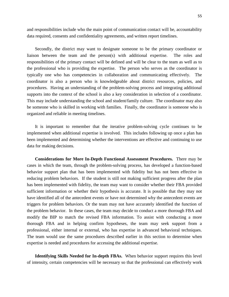and responsibilities include who the main point of communication contact will be, accountability data required, consents and confidentiality agreements, and written report timelines.

Secondly, the district may want to designate someone to be the primary coordinator or liaison between the team and the person(s) with additional expertise. The roles and responsibilities of the primary contact will be defined and will be clear to the team as well as to the professional who is providing the expertise. The person who serves as the coordinator is typically one who has competencies in collaboration and communicating effectively. The coordinator is also a person who is knowledgeable about district resources, policies, and procedures. Having an understanding of the problem-solving process and integrating additional supports into the context of the school is also a key consideration in selection of a coordinator. This may include understanding the school and student/family culture. The coordinator may also be someone who is skilled in working with families. Finally, the coordinator is someone who is organized and reliable in meeting timelines.

It is important to remember that the iterative problem-solving cycle continues to be implemented when additional expertise is involved. This includes following up once a plan has been implemented and determining whether the interventions are effective and continuing to use data for making decisions.

**Considerations for More In-Depth Functional Assessment Procedures.** There may be cases in which the team, through the problem-solving process, has developed a function-based behavior support plan that has been implemented with fidelity but has not been effective in reducing problem behaviors. If the student is still not making sufficient progress after the plan has been implemented with fidelity, the team may want to consider whether their FBA provided sufficient information or whether their hypothesis is accurate. It is possible that they may not have identified all of the antecedent events or have not determined why the antecedent events are triggers for problem behaviors. Or the team may not have accurately identified the function of the problem behavior. In these cases, the team may decide to conduct a more thorough FBA and modify the BIP to match the revised FBA information. To assist with conducting a more thorough FBA and in helping confirm hypotheses, the team may seek support from a professional, either internal or external, who has expertise in advanced behavioral techniques. The team would use the same procedures described earlier in this section to determine when expertise is needed and procedures for accessing the additional expertise.

**Identifying Skills Needed for In-depth FBAs.** When behavior support requires this level of intensity, certain competencies will be necessary so that the professional can effectively work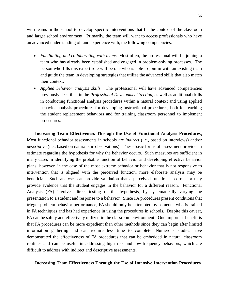with teams in the school to develop specific interventions that fit the context of the classroom and larger school environment. Primarily, the team will want to access professionals who have an advanced understanding of, and experience with, the following competencies.

- *Facilitating and collaborating with teams*. Most often, the professional will be joining a team who has already been established and engaged in problem-solving processes. The person who fills this expert role will be one who is able to join in with an existing team and guide the team in developing strategies that utilize the advanced skills that also match their context.
- *Applied behavior analysis skills.* The professional will have advanced competencies previously described in the *Professional Development Section*, as well as additional skills in conducting functional analysis procedures within a natural context and using applied behavior analysis procedures for developing instructional procedures, both for teaching the student replacement behaviors and for training classroom personnel to implement procedures.

**Increasing Team Effectiveness Through the Use of Functional Analysis Procedures**. Most functional behavior assessments in schools are *indirect* (i.e., based on interviews) and/or *descriptive* (i.e., based on naturalistic observations). These basic forms of assessment provide an estimate regarding the hypothesis for why the behavior occurs. Such measures are sufficient in many cases in identifying the probable function of behavior and developing effective behavior plans; however, in the case of the most extreme behavior or behavior that is not responsive to intervention that is aligned with the perceived function, more elaborate analysis may be beneficial. Such analyses can provide validation that a perceived function is correct or may provide evidence that the student engages in the behavior for a different reason. Functional Analysis (FA) involves direct testing of the hypothesis, by systematically varying the presentation to a student and response to a behavior. Since FA procedures present conditions that trigger problem behavior performance, FA should only be attempted by someone who is trained in FA techniques and has had experience in using the procedures in schools. Despite this caveat, FA can be safely and effectively utilized in the classroom environment. One important benefit is that FA procedures can be more expedient than other methods since they can begin after limited information gathering and can require less time to complete. Numerous studies have demonstrated the effectiveness of FA procedures that can be embedded in natural classroom routines and can be useful in addressing high risk and low-frequency behaviors, which are difficult to address with indirect and descriptive assessments.

#### **Increasing Team Effectiveness Through the Use of Intensive Intervention Procedures**.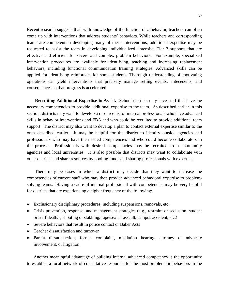Recent research suggests that, with knowledge of the function of a behavior, teachers can often come up with interventions that address students' behaviors. While teachers and corresponding teams are competent in developing many of these interventions, additional expertise may be requested to assist the team in developing individualized, intensive Tier 3 supports that are effective and efficient for severe and complex problem behaviors. For example, specialized intervention procedures are available for identifying, teaching and increasing replacement behaviors, including functional communication training strategies. Advanced skills can be applied for identifying reinforcers for some students. Thorough understanding of motivating operations can yield interventions that precisely manage setting events, antecedents, and consequences so that progress is accelerated.

**Recruiting Additional Expertise to Assist.** School districts may have staff that have the necessary competencies to provide additional expertise to the team. As described earlier in this section, districts may want to develop a resource list of internal professionals who have advanced skills in behavior interventions and FBA and who could be recruited to provide additional team support. The district may also want to develop a plan to contact external expertise similar to the ones described earlier. It may be helpful for the district to identify outside agencies and professionals who may have the needed competencies and who could become collaborators in the process. Professionals with desired competencies may be recruited from community agencies and local universities. It is also possible that districts may want to collaborate with other districts and share resources by pooling funds and sharing professionals with expertise.

There may be cases in which a district may decide that they want to increase the competencies of current staff who may then provide advanced behavioral expertise to problemsolving teams. Having a cadre of internal professional with competencies may be very helpful for districts that are experiencing a higher frequency of the following:

- Exclusionary disciplinary procedures, including suspensions, removals, etc.
- Crisis prevention, response, and management strategies (e.g., restraint or seclusion, student or staff death/s, shooting or stabbing, rape/sexual assault, campus accident, etc.)
- Severe behaviors that result in police contact or Baker Acts
- Teacher dissatisfaction and turnover
- Parent dissatisfaction, formal complaint, mediation hearing, attorney or advocate involvement, or litigation

Another meaningful advantage of building internal advanced competency is the opportunity to establish a local network of consultative resources for the most problematic behaviors in the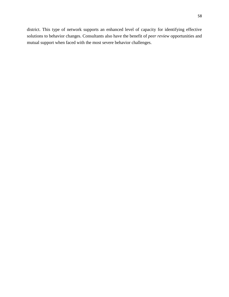district. This type of network supports an enhanced level of capacity for identifying effective solutions to behavior changes. Consultants also have the benefit of *peer review* opportunities and mutual support when faced with the most severe behavior challenges.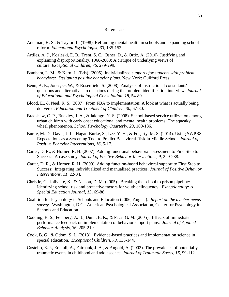#### References

- Adelman, H. S., & Taylor, L. (1998). Reframing mental health in schools and expanding school reform. *Educational Psychologist*, *33*, 135-152.
- Artiles, A. J., Kozleski, E. B., Trent, S. C., Osher, D., & Ortiz, A. (2010). Justifying and explaining disproportionality, 1968-2008: A critique of underlying views of culture. *Exceptional Children*, *76*, 279-299.
- Bambera, L. M., & Kern, L. (Eds). (2005). Individualized *supports for students with problem behaviors: Designing positive behavior plans.* New York: Guilford Press.
- Benn, A. E., Jones, G. W., & Rosenfield, S. (2008). Analysis of instructional consultants' questions and alternatives to questions during the problem identification interview. *Journal of Educational and Psychological Consultation*, *18*, 54-80.
- Blood, E., & Neel, R. S. (2007). From FBA to implementation: A look at what is actually being delivered. *Education and Treatment of Children*, *30*, 67-80.
- Bradshaw, C. P., Buckley, J. A., & Ialongo, N. S. (2008). School-based service utilization among urban children with early onset educational and mental health problems: The squeaky wheel phenomenon. *School Psychology Quarterly*, *23*, 169-186.
- Burke, M. D., Davis, J. L., Hagan-Burke, S., Lee, Y. H., & Fogarty, M. S. (2014). Using SWPBS Expectations as a Screening Tool to Predict Behavioral Risk in Middle School. *Journal of Positive Behavior Interventions*, *16*, 5-17.
- Carter, D. R., & Horner, R. H. (2007). Adding functional behavioral assessment to First Step to Success: A case study. *Journal of Positive Behavior Interventions, 9,* 229-238.
- Carter, D. R., & Horner, R. H. (2009). Adding function-based behavioral support to First Step to Success: Integrating individualized and manualized practices. *Journal of Positive Behavior Interventions, 11,* 22-34.
- Christie, C., Jolivette, K., & Nelson, D. M. (2005). Breaking the school to prison pipeline: Identifying school risk and protective factors for youth delinquency. *Exceptionality: A Special Education Journal, 13,* 69-88.
- Coalition for Psychology in Schools and Education (2006, August). *Report on the teacher needs survey.* Washington, D.C.: American Psychological Association, Center for Psychology in Schools and Education.
- Codding, R. S., Feinberg, A. B., Dunn, E. K., & Pace, G. M. (2005). Effects of immediate performance feedback on implementation of behavior support plans. *Journal of Applied Behavior Analysis, 36,* 205-219.
- Cook, B. G., & Odom, S. L. (2013). Evidence-based practices and implementation science in special education. *Exceptional Children, 79,* 135-144.
- Costello, E. J., Erkanli, A., Fairbank, J. A., & Angold, A. (2002). The prevalence of potentially traumatic events in childhood and adolescence. *Journal of Traumatic Stress*, *15*, 99-112.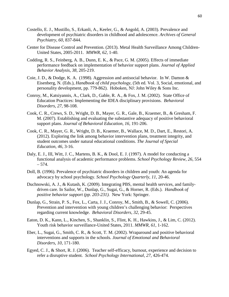- Costello, E. J., Mustillo, S., Erkanli, A., Keeler, G., & Angold, A. (2003). Prevalence and development of psychiatric disorders in childhood and adolescence. *Archives of General Psychiatry*, *60*, 837-844.
- Center for Disease Control and Prevention. (2013). Metal Health Surveillance Among Children-United States, 2005-2011. *MMWR, 62,* 1-40.
- Codding, R. S., Feinberg, A. B., Dunn, E. K., & Pace, G. M. (2005). Effects of immediate performance feedback on implementation of behavior support plans. *Journal of Applied Behavior Analysis*, *38*, 205-219.
- Coie, J. D., & Dodge, K. A. (1998). Aggression and antisocial behavior. In W. Damon & Eisenberg, N. (Eds.), *Handbook of child psychology,* (5th ed. Vol. 3, Social, emotional, and personality development, pp. 779-862). Hoboken, NJ: John Wiley & Sons Inc.
- Conroy, M., Katsiyannis, A., Clark, D., Gable, R. A., & Fox, J. M. (2002). State Office of Education Practices: Implementing the IDEA disciplinary provisions. *Behavioral Disorders, 27,* 98-108.
- Cook, C. R., Crews, S. D., Wright, D. B., Mayer, G. R., Gale, B., Kraemer, B., & Gresham, F. M. (2007). Establishing and evaluating the substantive adequacy of positive behavioral support plans. *Journal of Behavioral Education, 16,* 191-206.
- Cook, C. R., Mayer, G. R., Wright, D. B., Kraemer, B., Wallace, M. D., Dart, E., Restori, A. (2012). Exploring the link among behavior intervention plans, treatment integrity, and student outcomes under natural educational conditions. *The Journal of Special Education*, *46*, 3-16.
- Daly, E. J., III, Witt, J. C., Martens, B. K., & Dool, E. J. (1997). A model for conducting a functional analysis of academic performance problems. *School Psychology Review, 26,* 554  $-574.$
- Doll, B. (1996). Prevalence of psychiatric disorders in children and youth: An agenda for advocacy by school psychology. *School Psychology Quarterly, 11,* 20-46.
- Duchnowski, A. J., & Kutash, K. (2009). Integrating PBS, mental health services, and familydriven care. In Sailor, W., Dunlap, G., Sugai, G., & Horner, R. (Eds.). *Handbook of positive behavior support (pp. 203-231).* New York: Springer.
- Dunlap, G., Strain, P. S., Fox, L., Carta, J. J., Conroy, M., Smith, B., & Sowell, C. (2006). Prevention and intervention with young children's challenging behavior: Perspectives regarding current knowledge. *Behavioral Disorders, 32,* 29-45.
- Eaton, D. K., Kann, L., Kinchen, S., Shanklin, S., Flint, K. H., Hawkins, J., & Lim, C. (2012). Youth risk behavior surveillance-United States, 2011. *MMWR, 61*, 1-162.
- Eber, L., Sugai, G., Smith, C. R., & Scott, T. M. (2002). Wraparound and positive behavioral interventions and supports in the schools. *Journal of Emotional and Behavioral Disorders*, *10*, 171-180.
- Egyed, C. J., & Short, R. J. (2006). Teacher self-efficacy, burnout, experience and decision to refer a disruptive student. *School Psychology International, 27,* 426-474.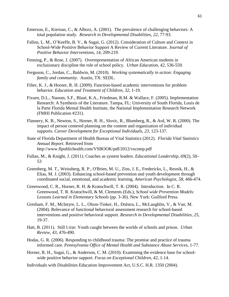- Emerson, E., Kiernan, C., & Alborz, A. (2001). The prevalence of challenging behaviors: A total population study. *Research in Developmental Disabilities, 22,* 77-93.
- Fallon, L. M., O'Keeffe, B. V., & Sugai, G. (2012). Consideration of Culture and Context in School-Wide Positive Behavior Support A Review of Current Literature. *Journal of Positive Behavior Interventions*, *14*, 209-219.
- Fenning, P., & Rose, J. (2007). Overrepresentation of African American students in exclusionary discipline the role of school policy. *Urban Education, 42,* 536-559.
- Ferguson, C., Jordan, C., Baldwin, M. (2010). *Working systematically in action: Engaging family and community.* Austin, TX: SEDL.
- Filter, K. J., & Horner, R. H. (2009). Function-based academic interventions for problem behavior. *Education and Treatment of Children, 32,* 1-19.
- Fixsen, D.L., Naoom, S.F., Blasé, K.A., Friedman, R.M. & Wallace, F. (2005). Implementation Research: A Synthesis of the Literature. Tampa, FL: University of South Florida, Louis de la Parte Florida Mental Health Institute, the National Implementation Research Network (FMHI Publication #231).
- Flannery, K. B., Newton, S., Horner, R. H., Slovic, R., Blumberg, R., & Ard, W. R. (2000). The impact of person centered planning on the content and organization of individual supports. *Career Development for Exceptional Individuals*, *23*, 123-137.
- State of Florida Department of Health Bureau of Vital Statistics (2012). *Florida Vital Statistics Annual Report*. Retrieved from http://www.flpublichealth.com/VSBOOK/pdf/2012/vscomp.pdf
- Fullan, M., & Knight, J. (2011). Coaches as system leaders. *Educational Leadership, 69*(2), 50– 53
- Greenberg, M. T., Weissberg, R. P., O'Brien, M. U., Zins, J. E., Fredericks, L., Resnik, H., & Elias, M. J. (2003). Enhancing school-based prevention and youth development through coordinated social, emotional, and academic learning. *American Psychologist*, *58*, 466-474.
- Greenwood, C. R., Horner, R. H. & Kratochwill, T. R. (2004). Introduction. In C. R. Greenwood, T. R. Kratochwill, & M. Clements (Eds.), *School wide Prevention Models: Lessons Learned in Elementary Schools* (pp. 3-30). New York: Guilford Press.
- Gresham, F. M., McIntyre, L. L., Olson-Tinker, H., Dolstra, L., McLaughlin, V., & Van, M. (2004). Relevance of functional behavioral assessment research for school-based interventions and positive behavioral support. *Research in Developmental Disabilities*, *25*, 19-37.
- Hatt, B. (2011). Still I rise: Youth caught between the worlds of schools and prison. *Urban Review, 43,* 476-490.
- Hodas, G. R. (2006). Responding to childhood trauma: The promise and practice of trauma informed care. *Pennsylvania Office of Mental Health and Substance Abuse Services*, 1-77.
- Horner, R. H., Sugai, G., & Anderson, C. M. (2010). Examining the evidence base for schoolwide positive behavior support. *Focus on Exceptional Children*, *42*, 1-14.
- Individuals with Disabilities Education Improvement Act, U.S.C. H.R. 1350 (2004).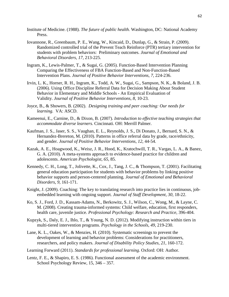- Institute of Medicine. (1988). *The future of public health.* Washington, DC: National Academy Press.
- Iovannone, R., Greenbaum, P. E., Wang, W., Kincaid, D., Dunlap, G., & Strain, P. (2009). Randomized controlled trial of the Prevent Teach Reinforce (PTR) tertiary intervention for students with problem behaviors: Preliminary outcomes. *Journal of Emotional and Behavioral Disorders, 17,* 213-225.
- Ingram, K., Lewis-Palmer, T., & Sugai, G. (2005). Function-Based Intervention Planning Comparing the Effectiveness of FBA Function-Based and Non-Function-Based Intervention Plans. *Journal of Positive Behavior Interventions*, *7*, 224-236.
- Irvin, L. K., Horner, R. H., Ingram, K., Todd, A. W., Sugai, G., Sampson, N. K., & Boland, J. B. (2006). Using Office Discipline Referral Data for Decision Making About Student Behavior in Elementary and Middle Schools - An Empirical Evaluation of Validity. *Journal of Positive Behavior Interventions*, *8*, 10-23.
- Joyce, B., & Showers, B. (2002). *Designing training and peer coaching: Our needs for learning.* VA: ASCD.
- Kameenui, E., Carnine, D., & Dixon, B. (2007). *Introduction to effective teaching strategies that accommodate diverse learners.* Cincinnati. OH: Merrill Palmer.
- Kaufman, J. S., Jaser, S. S., Vaughan, E. L., Reynolds, J. S., Di Donato, J., Bernard, S. N., & Hernandez-Brereton, M. (2010). Patterns in office referral data by grade, race/ethnicity, and gender. *Journal of Positive Behavior Interventions*, *12*, 44-54.
- Kazak, A. E., Hoagwood, K., Weisz, J. R., Hood, K., Kratochwill, T. R., Vargas, L. A., & Banez, G. A. (2010). A meta-systems approach to evidence-based practice for children and adolescents. *American Psychologist*, *65*, 85.
- Kennedy, C. H., Long, T., Jolivette, K., Cox, J., Tang, J. C., & Thompson, T. (2001). Facilitating general education participation for students with behavior problems by linking positive behavior supports and person-centered planning. *Journal of Emotional and Behavioral Disorders*, *9*, 161-171.
- Knight, J. (2009). Coaching: The key to translating research into practice lies in continuous, jobembedded learning with ongoing support. *Journal of Staff Development, 30*, 18-22.
- Ko, S. J., Ford, J. D., Kassam-Adams, N., Berkowitz, S. J., Wilson, C., Wong, M., & Layne, C. M. (2008). Creating trauma-informed systems: Child welfare, education, first responders, health care, juvenile justice. *Professional Psychology: Research and Practice*, 396-404.
- Kupzyk, S., Daly, E. J., Ihlo, T., & Young, N. D. (2012). Modifying instruction within tiers in multi-tiered intervention programs. *Psychology in the Schools*, *49*, 219-230.
- Lane, K. L., Oakes, W., & Menzies, H. (2010). Systematic screenings to prevent the development of learning and behavior problems: Considerations for practitioners, researchers, and policy makers. *Journal of Disability Policy Studies*, *21*, 160-172.
- Learning Forward (2011). *Standards for professional learning*. Oxford: OH: Author.
- Lentz, F. E., & Shapiro, E. S. (1986). Functional assessment of the academic environment. School Psychology Review, 15, 346 – 357.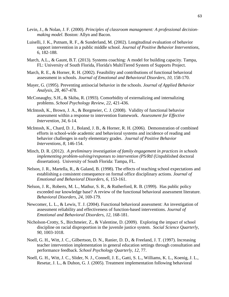- Levin, J., & Nolan, J. F. (2000). *Principles of classroom management: A professional decisionmaking model*. Boston: Allyn and Bacon.
- Luiselli, J. K., Putnam, R. F., & Sunderland, M. (2002). Longitudinal evaluation of behavior support intervention in a public middle school. *Journal of Positive Behavior Interventions*, 6, 182-188.
- March, A.L., & Gaunt, B.T. (2013). Systems coaching: A model for building capacity. Tampa, FL: University of South Florida, Florida's MultiTiered System of Supports Project.
- March, R. E., & Horner, R. H. (2002). Feasibility and contributions of functional behavioral assessment in schools. *Journal of Emotional and Behavioral Disorders, 10,* 158-170.
- Mayer, G. (1995). Preventing antisocial behavior in the schools. *Journal of Applied Behavior Analysis, 28*, 467-478.
- McConaughy, S.H., & Skiba, R. (1993). Comorbidity of externalizing and internalizing problems. *School Psychology Review, 22*, 421-436.
- McIntosh, K., Brown, J. A., & Borgmeier, C. J. (2008). Validity of functional behavior assessment within a response to intervention framework. *Assessment for Effective Intervention, 34,* 6-14.
- McIntosh, K., Chard, D. J., Boland, J. B., & Horner, R. H. (2006). Demonstration of combined efforts in school-wide academic and behavioral systems and incidence of reading and behavior challenges in early elementary grades. *Journal of Positive Behavior Interventions, 8,* 146-154.
- Minch, D. R. (2012). *A preliminary investigation of family engagement in practices in schools implementing problem-solving/responses to intervention (PS/RtI* (Unpublished doctoral dissertation). University of South Florida: Tampa, FL.
- Nelson, J. R., Martella, R., & Galand, B. (1998). The effects of teaching school expectations and establishing a consistent consequence on formal office disciplinary actions. *Journal of Emotional and Behavioral Disorders*, *6*, 153-161.
- Nelson, J. R., Roberts, M. L., Mathur, S. R., & Rutherford, R. B. (1999). Has public policy exceeded our knowledge base? A review of the functional behavioral assessment literature. *Behavioral Disorders, 24,* 169-179.
- Newcomer, L. L., & Lewis, T. J. (2004). Functional behavioral assessment: An investigation of assessment reliability and effectiveness of function-based interventions. *Journal of Emotional and Behavioral Disorders, 12,* 168-181.
- Nicholson-Crotty, S., Birchmeier, Z., & Valentine, D. (2009). Exploring the impact of school discipline on racial disproportion in the juvenile justice system. *Social Science Quarterly, 90,* 1003-1018.
- Noell, G. H., Witt, J. C., Gilbertson, D. N., Ranier, D. D., & Freeland, J. T. (1997). Increasing teacher intervention implementation in general education settings through consultation and performance feedback. *School Psychology Quarterly*, *12*, 77.
- Noell, G. H., Witt, J. C., Slider, N. J., Connell, J. E., Gatti, S. L., Williams, K. L., Koenig, J. L., Resetar, J. L., & Duhon, G. J. (2005). Treatment implementation following behavioral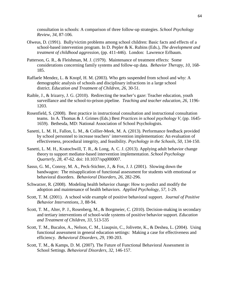consultation in schools: A comparison of three follow-up strategies. *School Psychology Review*, *34*, 87-106.

- Olweus, D. (1991). Bully/victim problems among school children: Basic facts and effects of a school-based intervention program. In D. Pepler & K. Rubins (Eds.), *The development and treatment of childhood aggression,* (pp. 411-446). London: Lawrence Erlbaum.
- Patterson, G. R., & Fleishman, M. J. (1979). Maintenance of treatment effects: Some considerations concerning family systems and follow-up data. *Behavior Therapy, 10,* 168- 185.
- Raffaele Mendez, L. & Knopf, H. M. (2003). Who gets suspended from school and why: A demographic analysis of schools and disciplinary infractions in a large school district. *Education and Treatment of Children*, *26*, 30-51.
- Raible, J., & Irizarry, J. G. (2010). Redirecting the teacher's gaze: Teacher education, youth surveillance and the school-to-prison pipeline. *Teaching and teacher education, 26,* 1196- 1203.
- Rosenfield, S. (2008). Best practice in instructional consultation and instructional consultation teams. In A. Thomas & J. Grimes (Eds.) Best *Practices in school psychology V,* (pp. 1645- 1659). Bethesda, MD: National Association of School Psychologists.
- Sanetti, L. M. H., Fallon, L. M., & Collier-Meek, M. A. (2013). Performance feedback provided by school personnel to increase teachers' intervention implementation: An evaluation of effectiveness, procedural integrity, and feasibility. *Psychology in the Schools*, *50*, 134-150.
- Sanetti, L. M. H., Kratochwill, T. R., & Long, A. C. J. (2013). Applying adult behavior change theory to support mediator-based intervention implementation. *School Psychology Quarterly, 28,* 47-62. doi: 10.1037/spq000007.
- Sasso, G. M., Conroy, M. A., Peck-Stichter, J., & Fox, J. J. (2001). Slowing down the bandwagon: The misapplication of functional assessment for students with emotional or behavioral disorders. *Behavioral Disorders, 26,* 282-296.
- Schwarzer, R. (2008). Modeling health behavior change: How to predict and modify the adoption and maintenance of health behaviors. *Applied Psychology, 57,* 1-29.
- Scott, T. M. (2001). A school wide example of positive behavioral support. *Journal of Positive Behavior Interventions, 3,* 88-94.
- Scott, T. M., Alter, P. J., Rosenberg, M., & Borgmeier, C. (2010). Decision-making in secondary and tertiary interventions of school-wide systems of positive behavior support. *Education and Treatment of Children, 33,* 513-535
- Scott, T. M., Bucalos, A., Nelson, C. M., Liaupsin, C., Jolivette, K., & Deshea, L. (2004). Using functional assessment in general education settings: Making a case for effectiveness and efficiency. *Behavioral Disorders, 29,* 190-203.
- Scott, T. M., & Kamps, D. M. (2007). The Future of Functional Behavioral Assessment in School Settings. *Behavioral Disorders*, *32*, 146-157.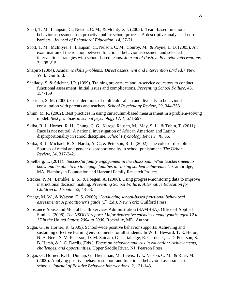- Scott, T. M., Liaupsin, C., Nelson, C. M., & McIntyre, J. (2005). Team-based functional behavior assessment as a proactive public school process: A descriptive analysis of current barriers. *Journal of Behavioral Education, 14,* 57-71.
- Scott, T. M., McIntyre, J., Liaupsin, C., Nelson, C. M., Conroy, M., & Payne, L. D. (2005). An examination of the relation between functional behavior assessment and selected intervention strategies with school-based teams. *Journal of Positive Behavior Interventions*, *7*, 205-215.
- Shapiro (2004). *Academic skills problems: Direct assessment and intervention (3rd ed.).* New York: Guilford.
- Shellady, S. & Stichter, J.P. (1999). Training pre-service and in-service educators to conduct functional assessment: Initial issues and complications. *Preventing School Failure,* 43, 154-159
- Sheridan, S. M. (2000). Considerations of multiculturalism and diversity in behavioral consultation with parents and teachers. *School Psychology Review, 29,* 344-353.
- Shinn, M. R. (2002). Best practices in using curriculum-based measurement in a problem-solving model. *Best practices in school psychology IV*, *1*, 671-697.
- Skiba, R. J., Horner, R. H., Chung, C. G., Karega Rausch, M., May, S. L., & Tobin, T. (2011). Race is not neutral: A national investigation of African American and Latino disproportionality in school discipline. *School Psychology Review*, *40*, 85.
- Skiba, R. J., Michael, R. S., Nardo, A. C., & Peterson, R. L. (2002). The color of discipline: Sources of racial and gender disproportionality in school punishment. *The Urban Review*, *34*, 317-342.
- Spielberg, L. (2011). *Successful family engagement in the classroom: What teachers need to know and be able to do to engage families in raising student achievement.* Cambridge, MA: Flamboyan Foundation and Harvard Family Research Project.
- Stecker, P. M., Lembke, E. S., & Foegen, A. (2008). Using progress-monitoring data to improve instructional decision making. *Preventing School Failure: Alternative Education for Children and Youth*, *52*, 48-58.
- Steege, M. W., & Watson, T. S. (2009). *Conducting school-based functional behavioral assessments: A practitioner's guide (2nd Ed.)*. New York: Guilford Press.
- Substance Abuse and Mental health Services Administration (SAMHSA), Office of Applied Studies. (2008). *The NSDUH report: Major depressive episodes among youths aged 12 to 17 in the United States: 2004 to 2006.* Rockville, MD: Author.
- Sugai, G., & Horner, R. (2005). School-wide positive behavior supports: Achieving and sustaining effective learning environments for all students. In W. L. Heward, T. E. Heron, N. A. Neef, S. M. Peterson, D. M. Sainato, G. Cartaledge, R. Gardener, L. D. Peterson, S. B. Hersh, & J. C. Dardig (Eds.), *Focus on behavior analysis in education: Achievements, challenges, and opportunities.* Upper Saddle River, NJ: Pearson Press.
- Sugai, G., Horner, R. H., Dunlap, G., Hieneman, M., Lewis, T. J., Nelson, C. M., & Ruef, M. (2000). Applying positive behavior support and functional behavioral assessment in schools. *Journal of Positive Behavior Interventions*, *2*, 131-143.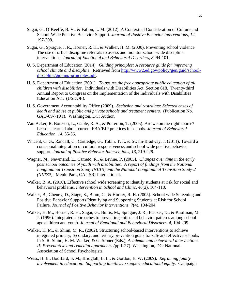- Sugai, G., O'Keeffe, B. V., & Fallon, L. M. (2012). A Contextual Consideration of Culture and School-Wide Positive Behavior Support. *Journal of Positive Behavior Interventions*, *14*, 197-208.
- Sugai, G., Sprague, J. R., Horner, R. H., & Walker, H. M. (2000). Preventing school violence The use of office discipline referrals to assess and monitor school-wide discipline interventions. *Journal of Emotional and Behavioral Disorders*, *8*, 94-101.
- U. S. Department of Education (2014). *Guiding principles: A resource guide for improving school climate and discipline.* Retrieved from [http://www2.ed.gov/policy/gen/guid/school](http://www2.ed.gov/policy/gen/guid/school-discipline/guiding-principles.pdf)[discipline/guiding-principles.pdf.](http://www2.ed.gov/policy/gen/guid/school-discipline/guiding-principles.pdf)
- U. S. Department of Education (2001). *To assure the free appropriate public education of all children with disabilities*. Individuals with Disabilities Act, Section 618. Twenty-third Annual Report to Congress on the Implementation of the Individuals with Disabilities Education Act. (USDOE).
- U. S. Government Accountability Office (2009). *Seclusion and restraints: Selected cases of death and abuse at public and private schools and treatment centers.* (Publication No. GAO-09-719T). Washington, DC: Author.
- Van Acker, R. Boreson, L., Gable, R. A., & Potterton, T. (2005). Are we on the right course? Lessons learned about current FBA/BIP practices in schools. *Journal of Behavioral Education, 14,* 35-56.
- Vincent, C. G., Randall, C., Cartledge, G., Tobin, T. J., & Swain-Bradway, J. (2011). Toward a conceptual integration of cultural responsiveness and school wide positive behavior support. *Journal of Positive Behavior Interventions*, *13*, 219-229.
- Wagner, M., Newmand, L., Cameto, R., & Levine, P. (2005). *Changes over time in the early post school outcomes of youth with disabilities. A report of findings from the National Longitudinal Transition Study (NLTS) and the National Longitudinal Transition Study-2 (NLTS2).* Menlo Park, CA: SRI International.
- Walker, B. A. (2010). Effective school wide screening to identify students at risk for social and behavioral problems. *Intervention in School and Clinic*, *46*(2), 104-110.
- Walker, B., Cheney, D., Stage, S., Blum, C., & Horner, R. H. (2005). School wide Screening and Positive Behavior Supports Identifying and Supporting Students at Risk for School Failure. *Journal of Positive Behavior Interventions*, *7*(4), 194-204.
- Walker, H. M., Horner, R. H., Sugai, G., Bullis, M., Sprague, J. R., Bricker, D., & Kaufman, M. J. (1996). Integrated approaches to preventing antisocial behavior patterns among schoolage children and youth. *Journal of Emotional and Behavioral Disorders*, *4*, 194-209.
- Walker, H. M., & Shinn, M. R., (2002). Structuring school-based interventions to achieve integrated primary, secondary, and tertiary prevention goals for safe and effective schools. In S. R. Shinn, H. M. Walker, & G. Stoner (Eds.), *Academic and behavioral interventions II: Preventative and remedial approaches (*pp.1-27). Washington, DC: National Association of School Psychologists.
- Weiss, H. B., Bouffard, S. M., Bridglall, B. L., & Gordon, E. W. (2009). *Reframing family involvement in education: Supporting families to support educational equity.* Campaign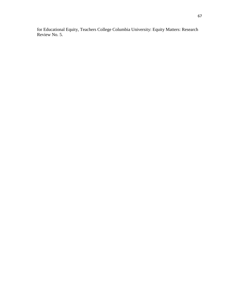for Educational Equity, Teachers College Columbia University: Equity Matters: Research Review No. 5.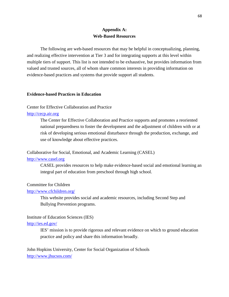# **Appendix A: Web-Based Resources**

The following are web-based resources that may be helpful in conceptualizing, planning, and realizing effective intervention at Tier 3 and for integrating supports at this level within multiple tiers of support. This list is not intended to be exhaustive, but provides information from valued and trusted sources, all of whom share common interests in providing information on evidence-based practices and systems that provide support all students.

#### **Evidence-based Practices in Education**

#### Center for Effective Collaboration and Practice

## [http://cecp.air.org](http://cecp.air.org/)

The Center for Effective Collaboration and Practice supports and promotes a reoriented national preparedness to foster the development and the adjustment of children with or at risk of developing serious emotional disturbance through the production, exchange, and use of knowledge about effective practices.

Collaborative for Social, Emotional, and Academic Learning (CASEL)

#### [http://www.casel.org](http://www.casel.org/)

CASEL provides resources to help make evidence-based social and emotional learning an integral part of education from preschool through high school.

#### Committee for Children

#### <http://www.cfchildren.org/>

This website provides social and academic resources, including Second Step and Bullying Prevention programs.

#### Institute of Education Sciences (IES)

#### <http://ies.ed.gov/>

IES' mission is to provide rigorous and relevant evidence on which to ground education practice and policy and share this information broadly.

John Hopkins University, Center for Social Organization of Schools <http://www.jhucsos.com/>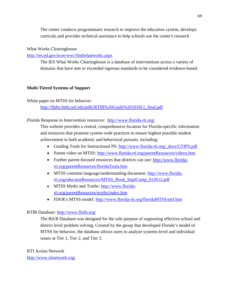The center conducts programmatic research to improve the education system, develops curricula and provides technical assistance to help schools use the center's research

# What Works Clearinghouse

<http://ies.ed.gov/ncee/wwc/findwhatworks.aspx>

The IES What Works Clearinghouse is a database of interventions across a variety of domains that have met or exceeded rigorous standards to be considered evidence-based.

# **Multi-Tiered Systems of Support**

White paper on MTSS for behavior: [http://flpbs.fmhi.usf.edu/pdfs/RTIB%20Guide%20101811\\_final.pdf](http://flpbs.fmhi.usf.edu/pdfs/RTIB%20Guide%20101811_final.pdf)

### Florida Response to Intervention resources: <http://www.florida-rti.org/>

This website provides a central, comprehensive location for Florida-specific information and resources that promote system-wide practices to ensure highest possible student achievement in both academic and behavioral pursuits, including:

- Guiding Tools for Instructional PS: [http://www.florida-rti.org/\\_docs/GTIPS.pdf](http://www.florida-rti.org/_docs/GTIPS.pdf)
- Parent video on MTSS: <http://www.florida-rti.org/parentResources/videos.htm>
- Further parent-focused resources that districts can use: [http://www.florida](http://www.florida-rti.org/parentResources/floridaTools.htm)[rti.org/parentResources/floridaTools.htm](http://www.florida-rti.org/parentResources/floridaTools.htm)
- MTSS common language/understanding document: [http://www.florida](http://www.florida-rti.org/educatorResources/MTSS_Book_ImplComp_012612.pdf)[rti.org/educatorResources/MTSS\\_Book\\_ImplComp\\_012612.pdf](http://www.florida-rti.org/educatorResources/MTSS_Book_ImplComp_012612.pdf)
- MTSS Myths and Truths: [http://www.florida](http://www.florida-rti.org/parentResources/myths/index.htm)[rti.org/parentResources/myths/index.htm](http://www.florida-rti.org/parentResources/myths/index.htm)
- FDOE's MTSS model: <http://www.florida-rti.org/floridaMTSS/mtf.htm>

# RTIB Database: <http://www.flrtib.org/>

The RtI:B Database was designed for the sole purpose of supporting effective school and district level problem solving. Created by the group that developed Florida's model of MTSS for behavior, the database allows users to analyze systems-level and individual issues at Tier 1, Tier 2, and Tier 3.

# RTI Action Network

<http://www.rtinetwork.org/>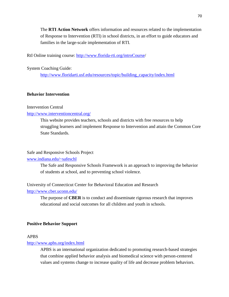The **RTI Action Network** offers information and resources related to the implementation of Response to Intervention (RTI) in school districts, in an effort to guide educators and families in the large-scale implementation of RTI.

RtI Online training course: [http://www.florida-rti.org/introCourse/](http://www.florida-rti.org/introCourse)

System Coaching Guide:

[http://www.floridarti.usf.edu/resources/topic/building\\_capacity/index.html](http://www.floridarti.usf.edu/resources/topic/building_capacity/index.html)

### **Behavior Intervention**

### Intervention Central

### <http://www.interventioncentral.org/>

This website provides teachers, schools and districts with free resources to help struggling learners and implement Response to Intervention and attain the Common Core State Standards.

# Safe and Responsive Schools Project

# [www.indiana.edu/~safeschl](http://www.indiana.edu/%7Esafeschl)

The Safe and Responsive Schools Framework is an approach to improving the behavior of students at school, and to preventing school violence.

University of Connecticut Center for Behavioral Education and Research

<http://www.cber.uconn.edu/>

The purpose of **CBER** is to conduct and disseminate rigorous research that improves educational and social outcomes for all children and youth in schools.

#### **Positive Behavior Support**

## APBS

#### <http://www.apbs.org/index.html>

APBS is an international organization dedicated to promoting research-based strategies that combine applied behavior analysis and biomedical science with person-centered values and systems change to increase quality of life and decrease problem behaviors.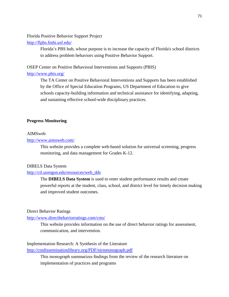Florida Positive Behavior Support Project

<http://flpbs.fmhi.usf.edu/>

Florida's PBS hub, whose purpose is to increase the capacity of Florida's school districts to address problem behaviors using Positive Behavior Support.

OSEP Center on Positive Behavioral Interventions and Supports (PBIS)

# [http://www.pbis.org/](http://www.pbis.org/english/default.htm)

The TA Center on Positive Behavioral Interventions and Supports has been established by the Office of Special Education Programs, US Department of Education to give schools capacity-building information and technical assistance for identifying, adapting, and sustaining effective school-wide disciplinary practices.

### **Progress Monitoring**

#### AIMSweb

# <http://www.aimsweb.com/>

This website provides a complete web-based solution for universal screening, progress monitoring, and data management for Grades K-12.

#### DIBELS Data System

### [http://ctl.uoregon.edu/resources/web\\_dds](http://ctl.uoregon.edu/resources/web_dds)

The **DIBELS Data System** is used to enter student performance results and create powerful reports at the student, class, school, and district level for timely decision making and improved student outcomes.

# Direct Behavior Ratings

#### <http://www.directbehaviorratings.com/cms/>

This website provides information on the use of direct behavior ratings for assessment, communication, and intervention.

### Implementation Research: A Synthesis of the Literature

<http://ctndisseminationlibrary.org/PDF/nirnmonograph.pdf>

This monograph summarizes findings from the review of the research literature on implementation of practices and programs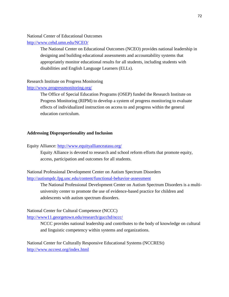## National Center of Educational Outcomes

<http://www.cehd.umn.edu/NCEO/>

The National Center on Educational Outcomes (NCEO) provides national leadership in designing and building educational assessments and accountability systems that appropriately monitor educational results for all students, including students with disabilities and English Language Learners (ELLs).

# Research Institute on Progress Monitoring

# <http://www.progressmonitoring.org/>

The Office of Special Education Programs (OSEP) funded the Research Institute on Progress Monitoring (RIPM) to develop a system of progress monitoring to evaluate effects of individualized instruction on access to and progress within the general education curriculum.

# **Addressing Disproportionality and Inclusion**

# Equity Alliance:<http://www.equityallianceatasu.org/>

Equity Alliance is devoted to research and school reform efforts that promote equity, access, participation and outcomes for all students.

National Professional Development Center on Autism Spectrum Disorders <http://autismpdc.fpg.unc.edu/content/functional-behavior-assessment>

The National Professional Development Center on Autism Spectrum Disorders is a multiuniversity center to promote the use of evidence-based practice for children and adolescents with autism spectrum disorders.

National Center for Cultural Competence (NCCC)

<http://www11.georgetown.edu/research/gucchd/nccc/>

NCCC provides national leadership and contributes to the body of knowledge on cultural and linguistic competency within systems and organizations.

National Center for Culturally Responsive Educational Systems (NCCRESt) <http://www.nccrest.org/index.html>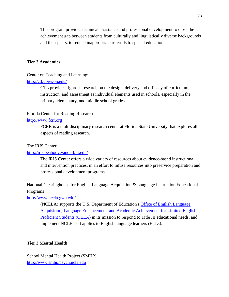This program provides technical assistance and professional development to close the achievement gap between students from culturally and linguistically diverse backgrounds and their peers, to reduce inappropriate referrals to special education.

## **Tier 3 Academics**

### Center on Teaching and Learning:

### <http://ctl.uoregon.edu/>

CTL provides rigorous research on the design, delivery and efficacy of curriculum, instruction, and assessment as individual elements used in schools, especially in the primary, elementary, and middle school grades.

### Florida Center for Reading Research

### [http://www.fcrr.org](https://webmail.unmc.edu/owa/redir.aspx?C=YlYWJdyQh0yooTPDyI8iHuy6D20zpM8IVQ88WeJey_lgxSzz2tIpRG3q3ONDwXgq3I-LduOUyIY.&URL=http%3a%2f%2fwww.fcrr.org)

FCRR is a multidisciplinary research center at Florida State University that explores all aspects of reading research.

#### The IRIS Center

### <http://iris.peabody.vanderbilt.edu/>

The IRIS Center offers a wide variety of resources about evidence-based instructional and intervention practices, in an effort to infuse resources into preservice preparation and professional development programs.

National Clearinghouse for English Language Acquisition & Language Instruction Educational Programs

<http://www.ncela.gwu.edu/>

(NCELA) supports the U.S. Department of Education's [Office of English Language](http://www2.ed.gov/about/offices/list/oela/index.html)  [Acquisition, Language Enhancement, and Academic Achievement for Limited English](http://www2.ed.gov/about/offices/list/oela/index.html)  [Proficient Students \(OELA\)](http://www2.ed.gov/about/offices/list/oela/index.html) in its mission to respond to Title III educational needs, and implement NCLB as it applies to English language learners (ELLs).

### **Tier 3 Mental Health**

School Mental Health Project (SMHP) [http://www.smhp.psych.ucla.edu](http://www.smhp.psych.ucla.edu/)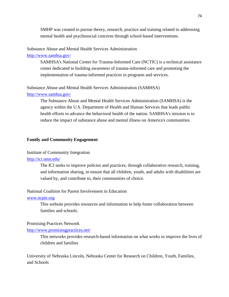SMHP was created to pursue theory, research, practice and training related to addressing mental health and psychosocial concerns through school-based interventions.

### Substance Abuse and Mental Health Services Administration

# [http://www.samhsa.gov/](http://www.samhsa.gov/nctic/)

SAMHSA's National Center for Trauma-Informed Care (NCTIC) is a technical assistance center dedicated to building awareness of trauma-informed care and promoting the implementation of trauma-informed practices in programs and services.

Substance Abuse and Mental Health Services Administration (SAMHSA) <http://www.samhsa.gov/>

> The Substance Abuse and Mental Health Services Administration (SAMHSA) is the agency within the U.S. Department of Health and Human Services that leads public health efforts to advance the behavioral health of the nation. SAMHSA's mission is to reduce the impact of substance abuse and mental illness on America's communities.

#### **Family and Community Engagement**

### Institute of Community Integration

#### <http://ici.umn.edu/>

The ICI seeks to improve policies and practices, through collaborative research, training, and information sharing, to ensure that all children, youth, and adults with disabilities are valued by, and contribute to, their communities of choice.

#### National Coalition for Parent Involvement in Education

#### [www.ncpie.org](http://www.ncpie.org/)

This website provides resources and information to help foster collaboration between families and schools.

### Promising Practices Network

#### <http://www.promisingpractices.net/>

This networks provides research-based information on what works to improve the lives of children and families

University of Nebraska Lincoln, Nebraska Center for Research on Children, Youth, Families, and Schools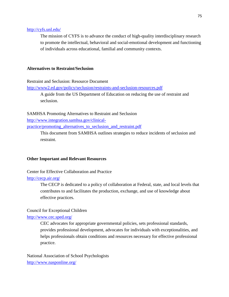### <http://cyfs.unl.edu/>

The mission of CYFS is to advance the conduct of high-quality interdisciplinary research to promote the intellectual, behavioral and social-emotional development and functioning of individuals across educational, familial and community contexts.

#### **Alternatives to Restraint/Seclusion**

Restraint and Seclusion: Resource Document

<http://www2.ed.gov/policy/seclusion/restraints-and-seclusion-resources.pdf>

A guide from the US Department of Education on reducing the use of restraint and seclusion.

SAMHSA Promoting Alternatives to Restraint and Seclusion [http://www.integration.samhsa.gov/clinical](http://www.integration.samhsa.gov/clinical-practice/promoting_alternatives_to_seclusion_and_restraint.pdf)[practice/promoting\\_alternatives\\_to\\_seclusion\\_and\\_restraint.pdf](http://www.integration.samhsa.gov/clinical-practice/promoting_alternatives_to_seclusion_and_restraint.pdf)

> This document from SAMHSA outlines strategies to reduce incidents of seclusion and restraint.

### **Other Important and Relevant Resources**

Center for Effective Collaboration and Practice

### <http://cecp.air.org/>

The CECP is dedicated to a policy of collaboration at Federal, state, and local levels that contributes to and facilitates the production, exchange, and use of knowledge about effective practices.

### Council for Exceptional Children

### <http://www.cec.sped.org/>

CEC advocates for appropriate governmental policies, sets professional standards, provides professional development, advocates for individuals with exceptionalities, and helps professionals obtain conditions and resources necessary for effective professional practice.

National Association of School Psychologists <http://www.nasponline.org/>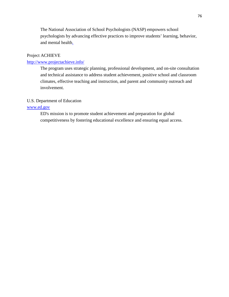The National Association of School Psychologists (NASP) empowers school psychologists by advancing effective practices to improve students' learning, behavior, and mental health.

# Project ACHIEVE

# <http://www.projectachieve.info/>

The program uses strategic planning, professional development, and on-site consultation and technical assistance to address student achievement, positive school and classroom climates, effective teaching and instruction, and parent and community outreach and involvement.

### U.S. Department of Education

# [www.ed.gov](http://www.ed.gov/)

ED's mission is to promote student achievement and preparation for global competitiveness by fostering educational excellence and ensuring equal access.